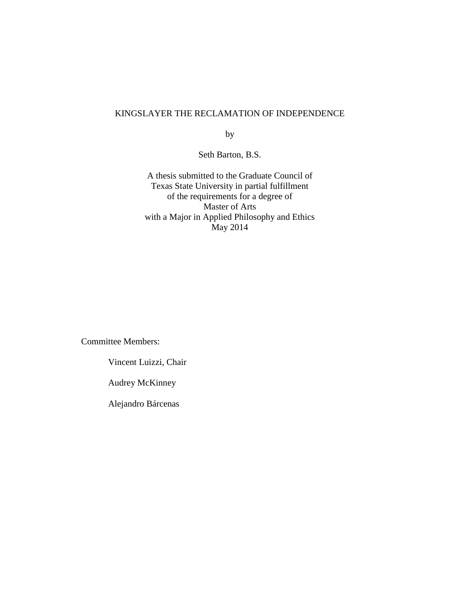# KINGSLAYER THE RECLAMATION OF INDEPENDENCE

by

Seth Barton, B.S.

A thesis submitted to the Graduate Council of Texas State University in partial fulfillment of the requirements for a degree of Master of Arts with a Major in Applied Philosophy and Ethics May 2014

Committee Members:

Vincent Luizzi, Chair

Audrey McKinney

Alejandro Bárcenas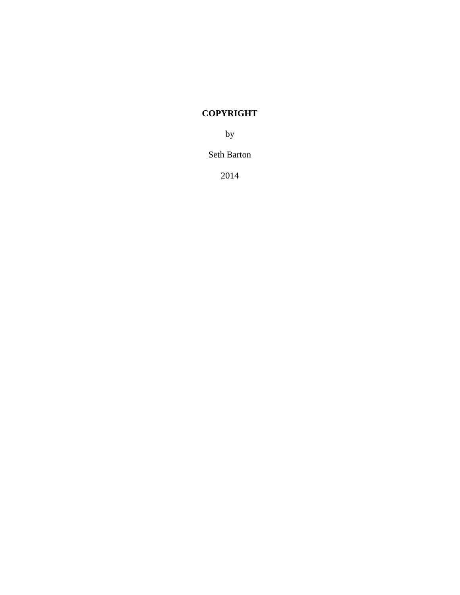# **COPYRIGHT**

by

Seth Barton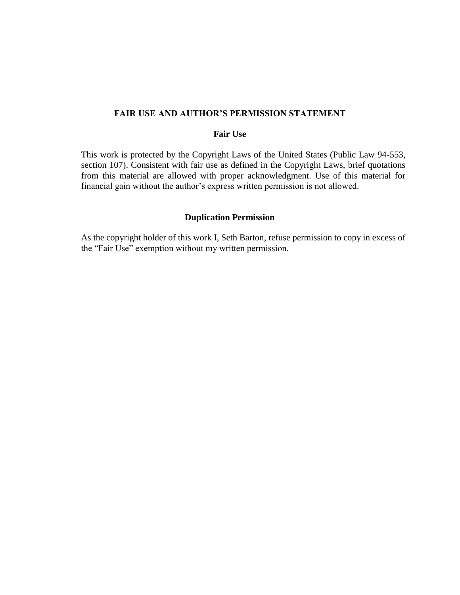# **FAIR USE AND AUTHOR'S PERMISSION STATEMENT**

# **Fair Use**

This work is protected by the Copyright Laws of the United States (Public Law 94-553, section 107). Consistent with fair use as defined in the Copyright Laws, brief quotations from this material are allowed with proper acknowledgment. Use of this material for financial gain without the author's express written permission is not allowed.

# **Duplication Permission**

As the copyright holder of this work I, Seth Barton, refuse permission to copy in excess of the "Fair Use" exemption without my written permission.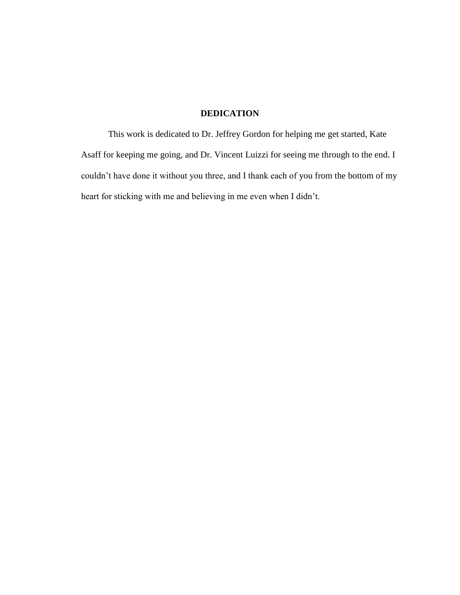# **DEDICATION**

This work is dedicated to Dr. Jeffrey Gordon for helping me get started, Kate Asaff for keeping me going, and Dr. Vincent Luizzi for seeing me through to the end. I couldn't have done it without you three, and I thank each of you from the bottom of my heart for sticking with me and believing in me even when I didn't.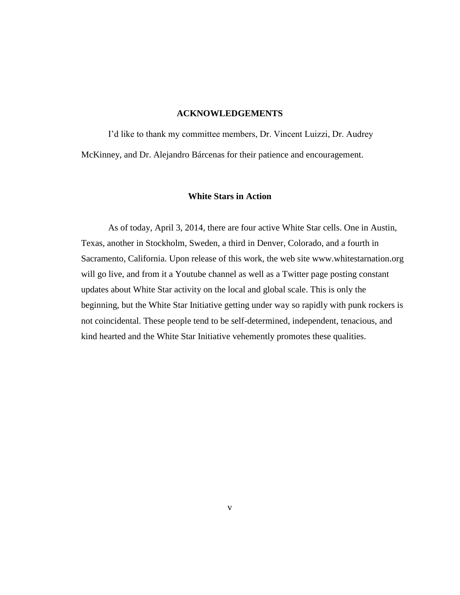#### **ACKNOWLEDGEMENTS**

I'd like to thank my committee members, Dr. Vincent Luizzi, Dr. Audrey McKinney, and Dr. Alejandro Bárcenas for their patience and encouragement.

# **White Stars in Action**

As of today, April 3, 2014, there are four active White Star cells. One in Austin, Texas, another in Stockholm, Sweden, a third in Denver, Colorado, and a fourth in Sacramento, California. Upon release of this work, the web site www.whitestarnation.org will go live, and from it a Youtube channel as well as a Twitter page posting constant updates about White Star activity on the local and global scale. This is only the beginning, but the White Star Initiative getting under way so rapidly with punk rockers is not coincidental. These people tend to be self-determined, independent, tenacious, and kind hearted and the White Star Initiative vehemently promotes these qualities.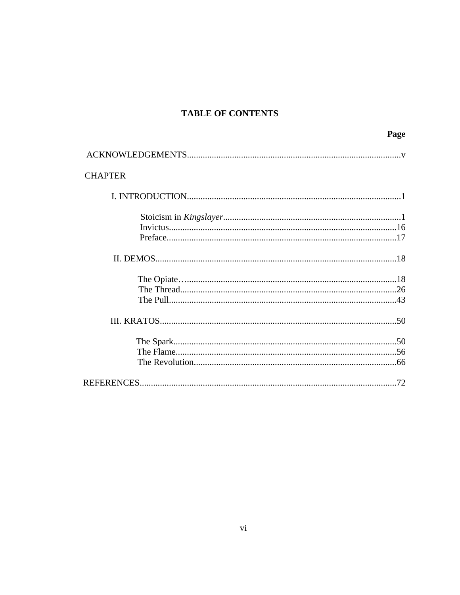# **TABLE OF CONTENTS**

Page

| <b>CHAPTER</b> |  |
|----------------|--|
|                |  |
|                |  |
|                |  |
|                |  |
|                |  |
|                |  |
|                |  |
|                |  |
|                |  |
|                |  |
|                |  |
|                |  |
|                |  |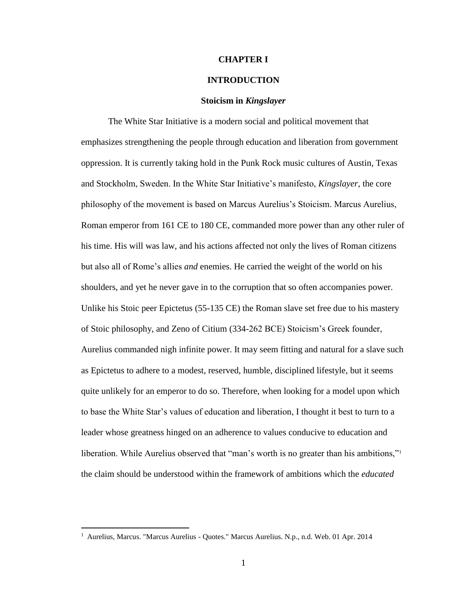#### **CHAPTER I**

#### **INTRODUCTION**

#### **Stoicism in** *Kingslayer*

The White Star Initiative is a modern social and political movement that emphasizes strengthening the people through education and liberation from government oppression. It is currently taking hold in the Punk Rock music cultures of Austin, Texas and Stockholm, Sweden. In the White Star Initiative's manifesto, *Kingslayer*, the core philosophy of the movement is based on Marcus Aurelius's Stoicism. Marcus Aurelius, Roman emperor from 161 CE to 180 CE, commanded more power than any other ruler of his time. His will was law, and his actions affected not only the lives of Roman citizens but also all of Rome's allies *and* enemies. He carried the weight of the world on his shoulders, and yet he never gave in to the corruption that so often accompanies power. Unlike his Stoic peer Epictetus (55-135 CE) the Roman slave set free due to his mastery of Stoic philosophy, and Zeno of Citium (334-262 BCE) Stoicism's Greek founder, Aurelius commanded nigh infinite power. It may seem fitting and natural for a slave such as Epictetus to adhere to a modest, reserved, humble, disciplined lifestyle, but it seems quite unlikely for an emperor to do so. Therefore, when looking for a model upon which to base the White Star's values of education and liberation, I thought it best to turn to a leader whose greatness hinged on an adherence to values conducive to education and liberation. While Aurelius observed that "man's worth is no greater than his ambitions,"<sup>1</sup> the claim should be understood within the framework of ambitions which the *educated*

<sup>&</sup>lt;sup>1</sup> Aurelius, Marcus. "Marcus Aurelius - Quotes." Marcus Aurelius. N.p., n.d. Web. 01 Apr. 2014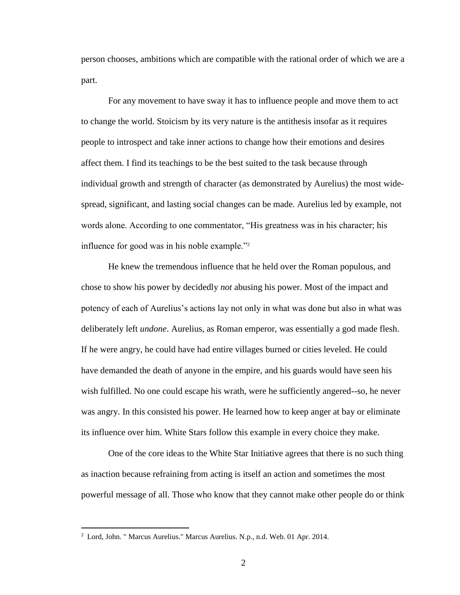person chooses, ambitions which are compatible with the rational order of which we are a part.

For any movement to have sway it has to influence people and move them to act to change the world. Stoicism by its very nature is the antithesis insofar as it requires people to introspect and take inner actions to change how their emotions and desires affect them. I find its teachings to be the best suited to the task because through individual growth and strength of character (as demonstrated by Aurelius) the most widespread, significant, and lasting social changes can be made. Aurelius led by example, not words alone. According to one commentator, "His greatness was in his character; his influence for good was in his noble example."<sup>2</sup>

He knew the tremendous influence that he held over the Roman populous, and chose to show his power by decidedly *not* abusing his power. Most of the impact and potency of each of Aurelius's actions lay not only in what was done but also in what was deliberately left *undone*. Aurelius, as Roman emperor, was essentially a god made flesh. If he were angry, he could have had entire villages burned or cities leveled. He could have demanded the death of anyone in the empire, and his guards would have seen his wish fulfilled. No one could escape his wrath, were he sufficiently angered--so, he never was angry. In this consisted his power. He learned how to keep anger at bay or eliminate its influence over him. White Stars follow this example in every choice they make.

One of the core ideas to the White Star Initiative agrees that there is no such thing as inaction because refraining from acting is itself an action and sometimes the most powerful message of all. Those who know that they cannot make other people do or think

<sup>2</sup> Lord, John. " Marcus Aurelius." Marcus Aurelius. N.p., n.d. Web. 01 Apr. 2014.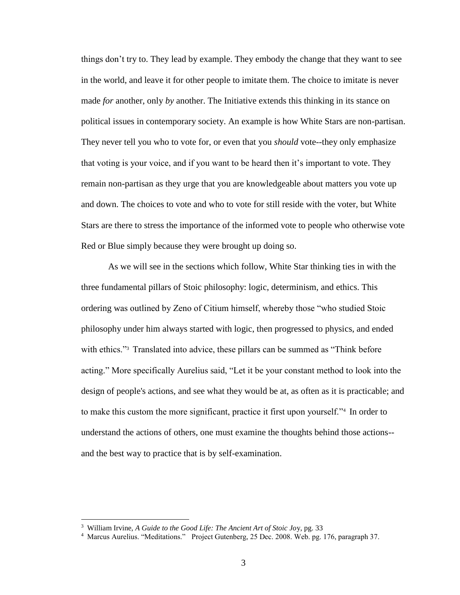things don't try to. They lead by example. They embody the change that they want to see in the world, and leave it for other people to imitate them. The choice to imitate is never made *for* another, only *by* another. The Initiative extends this thinking in its stance on political issues in contemporary society. An example is how White Stars are non-partisan. They never tell you who to vote for, or even that you *should* vote--they only emphasize that voting is your voice, and if you want to be heard then it's important to vote. They remain non-partisan as they urge that you are knowledgeable about matters you vote up and down. The choices to vote and who to vote for still reside with the voter, but White Stars are there to stress the importance of the informed vote to people who otherwise vote Red or Blue simply because they were brought up doing so.

As we will see in the sections which follow, White Star thinking ties in with the three fundamental pillars of Stoic philosophy: logic, determinism, and ethics. This ordering was outlined by Zeno of Citium himself, whereby those "who studied Stoic philosophy under him always started with logic, then progressed to physics, and ended with ethics."<sup>3</sup> Translated into advice, these pillars can be summed as "Think before" acting." More specifically Aurelius said, "Let it be your constant method to look into the design of people's actions, and see what they would be at, as often as it is practicable; and to make this custom the more significant, practice it first upon yourself."<sup>4</sup> In order to understand the actions of others, one must examine the thoughts behind those actions- and the best way to practice that is by self-examination.

<sup>3</sup> William Irvine, *A Guide to the Good Life: The Ancient Art of Stoic Jo*y, pg. 33

<sup>4</sup> Marcus Aurelius. "Meditations." Project Gutenberg, 25 Dec. 2008. Web. pg. 176, paragraph 37.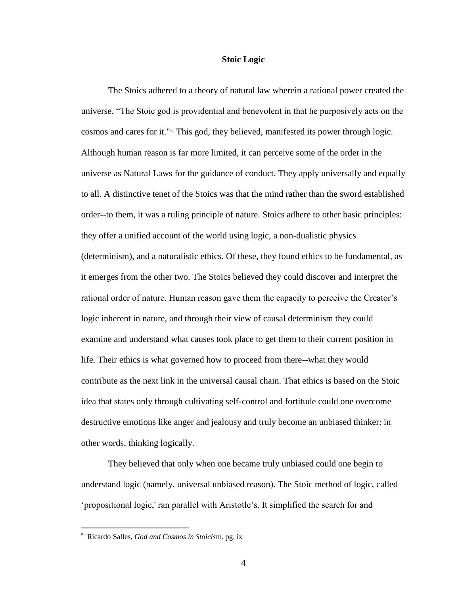#### **Stoic Logic**

The Stoics adhered to a theory of natural law wherein a rational power created the universe. "The Stoic god is providential and benevolent in that he purposively acts on the cosmos and cares for it."<sup>5</sup> This god, they believed, manifested its power through logic. Although human reason is far more limited, it can perceive some of the order in the universe as Natural Laws for the guidance of conduct. They apply universally and equally to all. A distinctive tenet of the Stoics was that the mind rather than the sword established order--to them, it was a ruling principle of nature. Stoics adhere to other basic principles: they offer a unified account of the world using logic, a non-dualistic physics (determinism), and a naturalistic ethics. Of these, they found ethics to be fundamental, as it emerges from the other two. The Stoics believed they could discover and interpret the rational order of nature. Human reason gave them the capacity to perceive the Creator's logic inherent in nature, and through their view of causal determinism they could examine and understand what causes took place to get them to their current position in life. Their ethics is what governed how to proceed from there--what they would contribute as the next link in the universal causal chain. That ethics is based on the Stoic idea that states only through cultivating self-control and fortitude could one overcome destructive emotions like anger and jealousy and truly become an unbiased thinker: in other words, thinking logically.

They believed that only when one became truly unbiased could one begin to understand logic (namely, universal unbiased reason). The Stoic method of logic, called 'propositional logic,' ran parallel with Aristotle's. It simplified the search for and

<sup>5</sup> Ricardo Salles, *God and Cosmos in Stoicis*m. pg. ix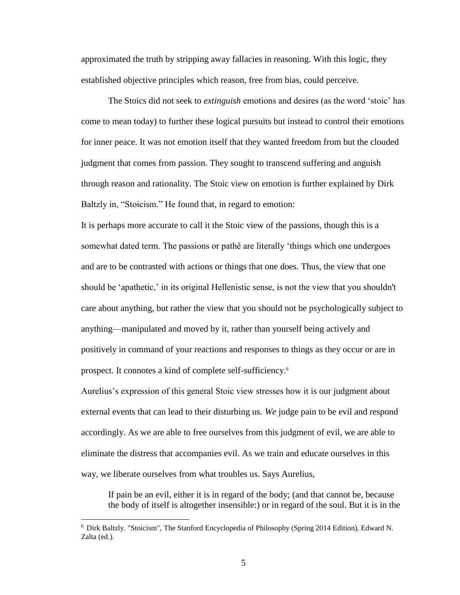approximated the truth by stripping away fallacies in reasoning. With this logic, they established objective principles which reason, free from bias, could perceive.

The Stoics did not seek to *extinguish* emotions and desires (as the word 'stoic' has come to mean today) to further these logical pursuits but instead to control their emotions for inner peace. It was not emotion itself that they wanted freedom from but the clouded judgment that comes from passion. They sought to transcend suffering and anguish through reason and rationality. The Stoic view on emotion is further explained by Dirk Baltzly in, "Stoicism." He found that, in regard to emotion:

It is perhaps more accurate to call it the Stoic view of the passions, though this is a somewhat dated term. The passions or pathê are literally 'things which one undergoes and are to be contrasted with actions or things that one does. Thus, the view that one should be 'apathetic,' in its original Hellenistic sense, is not the view that you shouldn't care about anything, but rather the view that you should not be psychologically subject to anything—manipulated and moved by it, rather than yourself being actively and positively in command of your reactions and responses to things as they occur or are in prospect. It connotes a kind of complete self-sufficiency.<sup>6</sup>

Aurelius's expression of this general Stoic view stresses how it is our judgment about external events that can lead to their disturbing us. *We* judge pain to be evil and respond accordingly. As we are able to free ourselves from this judgment of evil, we are able to eliminate the distress that accompanies evil. As we train and educate ourselves in this way, we liberate ourselves from what troubles us. Says Aurelius,

If pain be an evil, either it is in regard of the body; (and that cannot be, because the body of itself is altogether insensible:) or in regard of the soul. But it is in the

<sup>6</sup> Dirk Baltzly. "Stoicism", The Stanford Encyclopedia of Philosophy (Spring 2014 Edition), Edward N. Zalta (ed.).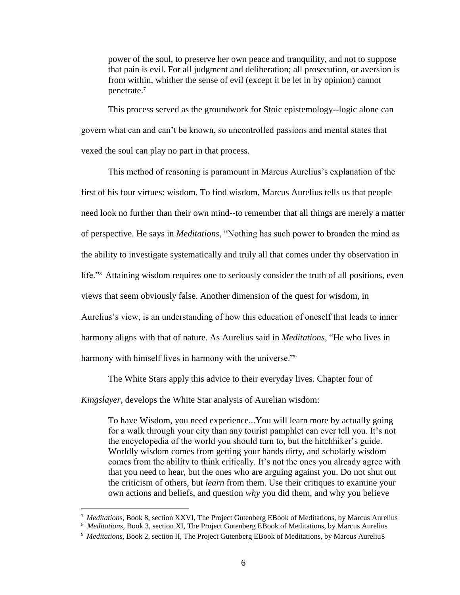power of the soul, to preserve her own peace and tranquility, and not to suppose that pain is evil. For all judgment and deliberation; all prosecution, or aversion is from within, whither the sense of evil (except it be let in by opinion) cannot penetrate.<sup>7</sup>

This process served as the groundwork for Stoic epistemology--logic alone can govern what can and can't be known, so uncontrolled passions and mental states that vexed the soul can play no part in that process.

This method of reasoning is paramount in Marcus Aurelius's explanation of the first of his four virtues: wisdom. To find wisdom, Marcus Aurelius tells us that people need look no further than their own mind--to remember that all things are merely a matter of perspective. He says in *Meditations*, "Nothing has such power to broaden the mind as the ability to investigate systematically and truly all that comes under thy observation in life."<sup>8</sup> Attaining wisdom requires one to seriously consider the truth of all positions, even views that seem obviously false. Another dimension of the quest for wisdom, in Aurelius's view, is an understanding of how this education of oneself that leads to inner harmony aligns with that of nature. As Aurelius said in *Meditations*, "He who lives in harmony with himself lives in harmony with the universe."<sup>9</sup>

The White Stars apply this advice to their everyday lives. Chapter four of

*Kingslayer*, develops the White Star analysis of Aurelian wisdom:

 $\overline{a}$ 

To have Wisdom, you need experience...You will learn more by actually going for a walk through your city than any tourist pamphlet can ever tell you. It's not the encyclopedia of the world you should turn to, but the hitchhiker's guide. Worldly wisdom comes from getting your hands dirty, and scholarly wisdom comes from the ability to think critically. It's not the ones you already agree with that you need to hear, but the ones who are arguing against you. Do not shut out the criticism of others, but *learn* from them. Use their critiques to examine your own actions and beliefs, and question *why* you did them, and why you believe

<sup>7</sup> *Meditation*s, Book 8, section XXVI, The Project Gutenberg EBook of Meditations, by Marcus Aurelius

<sup>8</sup> *Meditations*, Book 3, section XI, The Project Gutenberg EBook of Meditations, by Marcus Aurelius

<sup>9</sup> *Meditations*, Book 2, section II, The Project Gutenberg EBook of Meditations, by Marcus Aurelius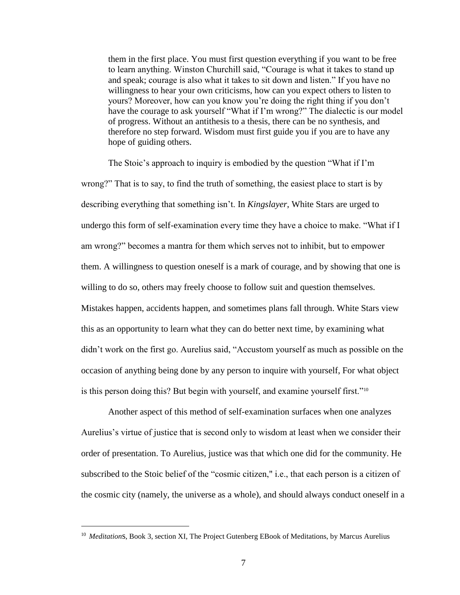them in the first place. You must first question everything if you want to be free to learn anything. Winston Churchill said, "Courage is what it takes to stand up and speak; courage is also what it takes to sit down and listen." If you have no willingness to hear your own criticisms, how can you expect others to listen to yours? Moreover, how can you know you're doing the right thing if you don't have the courage to ask yourself "What if I'm wrong?" The dialectic is our model of progress. Without an antithesis to a thesis, there can be no synthesis, and therefore no step forward. Wisdom must first guide you if you are to have any hope of guiding others.

The Stoic's approach to inquiry is embodied by the question "What if I'm wrong?" That is to say, to find the truth of something, the easiest place to start is by describing everything that something isn't. In *Kingslayer*, White Stars are urged to undergo this form of self-examination every time they have a choice to make. "What if I am wrong?" becomes a mantra for them which serves not to inhibit, but to empower them. A willingness to question oneself is a mark of courage, and by showing that one is willing to do so, others may freely choose to follow suit and question themselves. Mistakes happen, accidents happen, and sometimes plans fall through. White Stars view this as an opportunity to learn what they can do better next time, by examining what didn't work on the first go. Aurelius said, "Accustom yourself as much as possible on the occasion of anything being done by any person to inquire with yourself, For what object is this person doing this? But begin with yourself, and examine yourself first."<sup>10</sup>

Another aspect of this method of self-examination surfaces when one analyzes Aurelius's virtue of justice that is second only to wisdom at least when we consider their order of presentation. To Aurelius, justice was that which one did for the community. He subscribed to the Stoic belief of the "cosmic citizen," i.e., that each person is a citizen of the cosmic city (namely, the universe as a whole), and should always conduct oneself in a

<sup>10</sup> *Meditation*s, Book 3, section XI, The Project Gutenberg EBook of Meditations, by Marcus Aurelius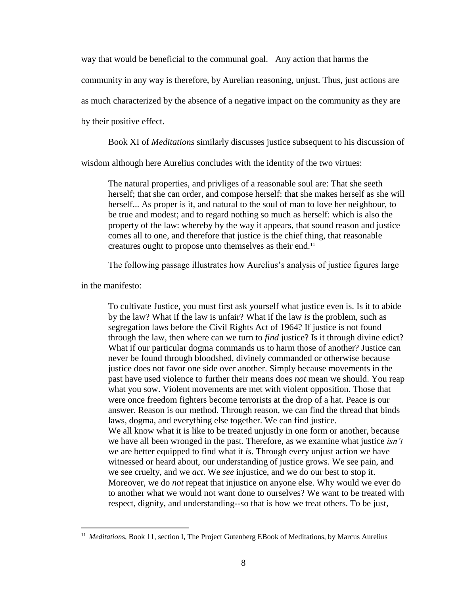way that would be beneficial to the communal goal. Any action that harms the

community in any way is therefore, by Aurelian reasoning, unjust. Thus, just actions are

as much characterized by the absence of a negative impact on the community as they are

by their positive effect.

Book XI of *Meditations* similarly discusses justice subsequent to his discussion of

wisdom although here Aurelius concludes with the identity of the two virtues:

The natural properties, and privliges of a reasonable soul are: That she seeth herself; that she can order, and compose herself: that she makes herself as she will herself... As proper is it, and natural to the soul of man to love her neighbour, to be true and modest; and to regard nothing so much as herself: which is also the property of the law: whereby by the way it appears, that sound reason and justice comes all to one, and therefore that justice is the chief thing, that reasonable creatures ought to propose unto themselves as their end.<sup>11</sup>

The following passage illustrates how Aurelius's analysis of justice figures large

in the manifesto:

 $\overline{a}$ 

To cultivate Justice, you must first ask yourself what justice even is. Is it to abide by the law? What if the law is unfair? What if the law *is* the problem, such as segregation laws before the Civil Rights Act of 1964? If justice is not found through the law, then where can we turn to *find* justice? Is it through divine edict? What if our particular dogma commands us to harm those of another? Justice can never be found through bloodshed, divinely commanded or otherwise because justice does not favor one side over another. Simply because movements in the past have used violence to further their means does *not* mean we should. You reap what you sow. Violent movements are met with violent opposition. Those that were once freedom fighters become terrorists at the drop of a hat. Peace is our answer. Reason is our method. Through reason, we can find the thread that binds laws, dogma, and everything else together. We can find justice. We all know what it is like to be treated unjustly in one form or another, because we have all been wronged in the past. Therefore, as we examine what justice *isn't* we are better equipped to find what it *is*. Through every unjust action we have witnessed or heard about, our understanding of justice grows. We see pain, and we see cruelty, and we *act*. We *see* injustice, and we do our best to stop it. Moreover, we do *not* repeat that injustice on anyone else. Why would we ever do to another what we would not want done to ourselves? We want to be treated with respect, dignity, and understanding--so that is how we treat others. To be just,

<sup>&</sup>lt;sup>11</sup> Meditations, Book 11, section I, The Project Gutenberg EBook of Meditations, by Marcus Aurelius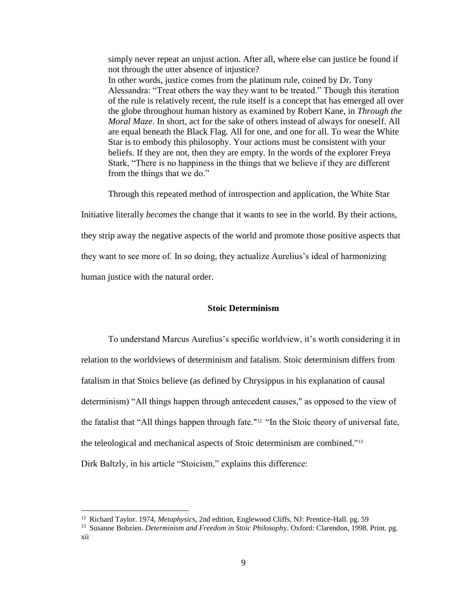simply never repeat an unjust action. After all, where else can justice be found if not through the utter absence of injustice? In other words, justice comes from the platinum rule, coined by Dr. Tony Alessandra: "Treat others the way they want to be treated." Though this iteration of the rule is relatively recent, the rule itself is a concept that has emerged all over the globe throughout human history as examined by Robert Kane, in *Through the Moral Maze*. In short, act for the sake of others instead of always for oneself. All are equal beneath the Black Flag. All for one, and one for all. To wear the White Star is to embody this philosophy. Your actions must be consistent with your beliefs. If they are not, then they are empty. In the words of the explorer Freya Stark, "There is no happiness in the things that we believe if they are different from the things that we do."

Through this repeated method of introspection and application, the White Star

Initiative literally *becomes* the change that it wants to see in the world. By their actions,

they strip away the negative aspects of the world and promote those positive aspects that

they want to see more of. In so doing, they actualize Aurelius's ideal of harmonizing

human justice with the natural order.

 $\overline{a}$ 

#### **Stoic Determinism**

To understand Marcus Aurelius's specific worldview, it's worth considering it in relation to the worldviews of determinism and fatalism. Stoic determinism differs from fatalism in that Stoics believe (as defined by Chrysippus in his explanation of causal determinism) "All things happen through antecedent causes," as opposed to the view of the fatalist that "All things happen through fate."<sup>12</sup> "In the Stoic theory of universal fate, the teleological and mechanical aspects of Stoic determinism are combined."<sup>13</sup> Dirk Baltzly, in his article "Stoicism," explains this difference:

<sup>12</sup> Richard Taylor. 1974, *Metaphysic*s, 2nd edition, Englewood Cliffs, NJ: Prentice-Hall. pg. 59

<sup>13</sup> Susanne Bobzien. *Determinism and Freedom in Stoic Philosoph*y. Oxford: Clarendon, 1998. Print. pg. xii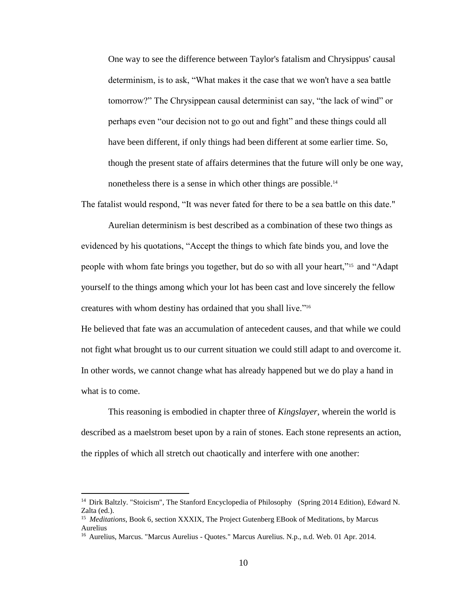One way to see the difference between Taylor's fatalism and Chrysippus' causal determinism, is to ask, "What makes it the case that we won't have a sea battle tomorrow?" The Chrysippean causal determinist can say, "the lack of wind" or perhaps even "our decision not to go out and fight" and these things could all have been different, if only things had been different at some earlier time. So, though the present state of affairs determines that the future will only be one way, nonetheless there is a sense in which other things are possible.<sup>14</sup>

The fatalist would respond, "It was never fated for there to be a sea battle on this date."

Aurelian determinism is best described as a combination of these two things as evidenced by his quotations, "Accept the things to which fate binds you, and love the people with whom fate brings you together, but do so with all your heart,"<sup>15</sup> and "Adapt yourself to the things among which your lot has been cast and love sincerely the fellow creatures with whom destiny has ordained that you shall live."<sup>16</sup>

He believed that fate was an accumulation of antecedent causes, and that while we could not fight what brought us to our current situation we could still adapt to and overcome it. In other words, we cannot change what has already happened but we do play a hand in what is to come.

This reasoning is embodied in chapter three of *Kingslayer*, wherein the world is described as a maelstrom beset upon by a rain of stones. Each stone represents an action, the ripples of which all stretch out chaotically and interfere with one another:

<sup>&</sup>lt;sup>14</sup> Dirk Baltzly. "Stoicism", The Stanford Encyclopedia of Philosophy (Spring 2014 Edition), Edward N. Zalta (ed.).

<sup>15</sup> *Meditations*, Book 6, section XXXIX, The Project Gutenberg EBook of Meditations, by Marcus Aurelius

<sup>&</sup>lt;sup>16</sup> Aurelius, Marcus. "Marcus Aurelius - Quotes." Marcus Aurelius. N.p., n.d. Web. 01 Apr. 2014.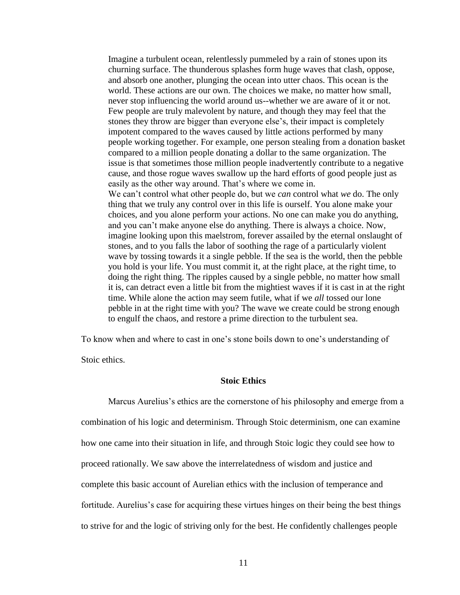Imagine a turbulent ocean, relentlessly pummeled by a rain of stones upon its churning surface. The thunderous splashes form huge waves that clash, oppose, and absorb one another, plunging the ocean into utter chaos. This ocean is the world. These actions are our own. The choices we make, no matter how small, never stop influencing the world around us--whether we are aware of it or not. Few people are truly malevolent by nature, and though they may feel that the stones they throw are bigger than everyone else's, their impact is completely impotent compared to the waves caused by little actions performed by many people working together. For example, one person stealing from a donation basket compared to a million people donating a dollar to the same organization. The issue is that sometimes those million people inadvertently contribute to a negative cause, and those rogue waves swallow up the hard efforts of good people just as easily as the other way around. That's where we come in. We can't control what other people do, but we *can* control what *we* do. The only thing that we truly any control over in this life is ourself. You alone make your choices, and you alone perform your actions. No one can make you do anything, and you can't make anyone else do anything. There is always a choice. Now, imagine looking upon this maelstrom, forever assailed by the eternal onslaught of stones, and to you falls the labor of soothing the rage of a particularly violent wave by tossing towards it a single pebble. If the sea is the world, then the pebble you hold is your life. You must commit it, at the right place, at the right time, to doing the right thing. The ripples caused by a single pebble, no matter how small it is, can detract even a little bit from the mightiest waves if it is cast in at the right time. While alone the action may seem futile, what if we *all* tossed our lone pebble in at the right time with you? The wave we create could be strong enough to engulf the chaos, and restore a prime direction to the turbulent sea.

To know when and where to cast in one's stone boils down to one's understanding of

Stoic ethics.

### **Stoic Ethics**

Marcus Aurelius's ethics are the cornerstone of his philosophy and emerge from a combination of his logic and determinism. Through Stoic determinism, one can examine how one came into their situation in life, and through Stoic logic they could see how to proceed rationally. We saw above the interrelatedness of wisdom and justice and complete this basic account of Aurelian ethics with the inclusion of temperance and fortitude. Aurelius's case for acquiring these virtues hinges on their being the best things to strive for and the logic of striving only for the best. He confidently challenges people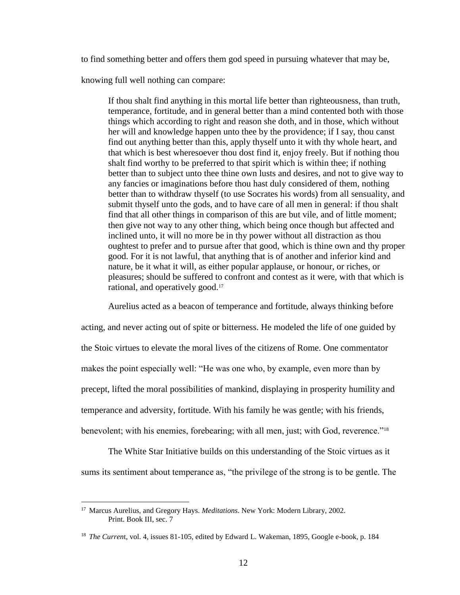to find something better and offers them god speed in pursuing whatever that may be,

knowing full well nothing can compare:

If thou shalt find anything in this mortal life better than righteousness, than truth, temperance, fortitude, and in general better than a mind contented both with those things which according to right and reason she doth, and in those, which without her will and knowledge happen unto thee by the providence; if I say, thou canst find out anything better than this, apply thyself unto it with thy whole heart, and that which is best wheresoever thou dost find it, enjoy freely. But if nothing thou shalt find worthy to be preferred to that spirit which is within thee; if nothing better than to subject unto thee thine own lusts and desires, and not to give way to any fancies or imaginations before thou hast duly considered of them, nothing better than to withdraw thyself (to use Socrates his words) from all sensuality, and submit thyself unto the gods, and to have care of all men in general: if thou shalt find that all other things in comparison of this are but vile, and of little moment; then give not way to any other thing, which being once though but affected and inclined unto, it will no more be in thy power without all distraction as thou oughtest to prefer and to pursue after that good, which is thine own and thy proper good. For it is not lawful, that anything that is of another and inferior kind and nature, be it what it will, as either popular applause, or honour, or riches, or pleasures; should be suffered to confront and contest as it were, with that which is rational, and operatively good.<sup>17</sup>

Aurelius acted as a beacon of temperance and fortitude, always thinking before acting, and never acting out of spite or bitterness. He modeled the life of one guided by the Stoic virtues to elevate the moral lives of the citizens of Rome. One commentator makes the point especially well: "He was one who, by example, even more than by precept, lifted the moral possibilities of mankind, displaying in prosperity humility and temperance and adversity, fortitude. With his family he was gentle; with his friends, benevolent; with his enemies, forebearing; with all men, just; with God, reverence."<sup>18</sup>

The White Star Initiative builds on this understanding of the Stoic virtues as it sums its sentiment about temperance as, "the privilege of the strong is to be gentle. The

<sup>17</sup> Marcus Aurelius, and Gregory Hays. *Meditations*. New York: Modern Library, 2002. Print. Book III, sec. 7

<sup>&</sup>lt;sup>18</sup> *The Current*, vol. 4, issues 81-105, edited by Edward L. Wakeman, 1895, Google e-book, p. 184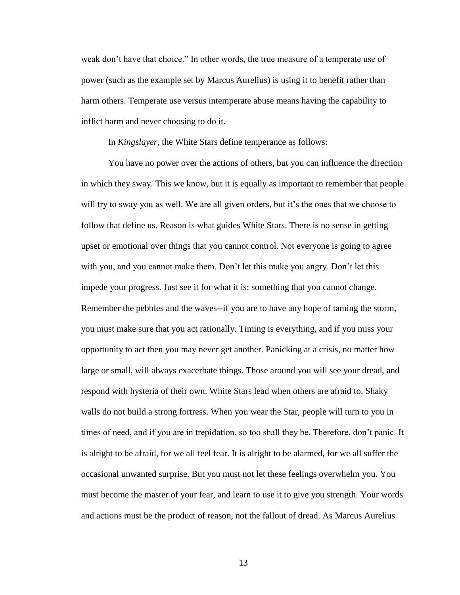weak don't have that choice." In other words, the true measure of a temperate use of power (such as the example set by Marcus Aurelius) is using it to benefit rather than harm others. Temperate use versus intemperate abuse means having the capability to inflict harm and never choosing to do it.

In *Kingslayer*, the White Stars define temperance as follows:

You have no power over the actions of others, but you can influence the direction in which they sway. This we know, but it is equally as important to remember that people will try to sway you as well. We are all given orders, but it's the ones that we choose to follow that define us. Reason is what guides White Stars. There is no sense in getting upset or emotional over things that you cannot control. Not everyone is going to agree with you, and you cannot make them. Don't let this make you angry. Don't let this impede your progress. Just see it for what it is: something that you cannot change. Remember the pebbles and the waves--if you are to have any hope of taming the storm, you must make sure that you act rationally. Timing is everything, and if you miss your opportunity to act then you may never get another. Panicking at a crisis, no matter how large or small, will always exacerbate things. Those around you will see your dread, and respond with hysteria of their own. White Stars lead when others are afraid to. Shaky walls do not build a strong fortress. When you wear the Star, people will turn to you in times of need, and if you are in trepidation, so too shall they be. Therefore, don't panic. It is alright to be afraid, for we all feel fear. It is alright to be alarmed, for we all suffer the occasional unwanted surprise. But you must not let these feelings overwhelm you. You must become the master of your fear, and learn to use it to give you strength. Your words and actions must be the product of reason, not the fallout of dread. As Marcus Aurelius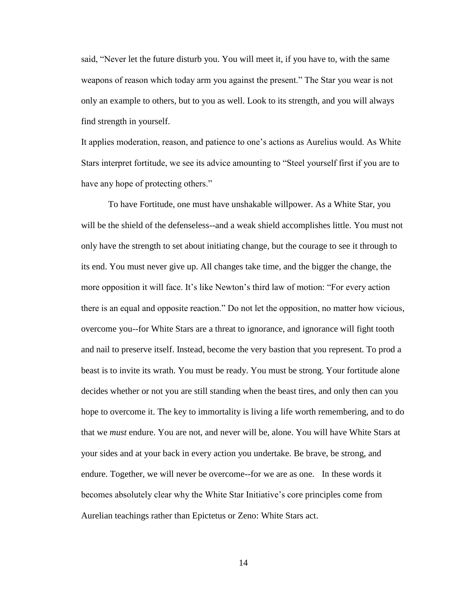said, "Never let the future disturb you. You will meet it, if you have to, with the same weapons of reason which today arm you against the present." The Star you wear is not only an example to others, but to you as well. Look to its strength, and you will always find strength in yourself.

It applies moderation, reason, and patience to one's actions as Aurelius would. As White Stars interpret fortitude, we see its advice amounting to "Steel yourself first if you are to have any hope of protecting others."

To have Fortitude, one must have unshakable willpower. As a White Star, you will be the shield of the defenseless--and a weak shield accomplishes little. You must not only have the strength to set about initiating change, but the courage to see it through to its end. You must never give up. All changes take time, and the bigger the change, the more opposition it will face. It's like Newton's third law of motion: "For every action there is an equal and opposite reaction." Do not let the opposition, no matter how vicious, overcome you--for White Stars are a threat to ignorance, and ignorance will fight tooth and nail to preserve itself. Instead, become the very bastion that you represent. To prod a beast is to invite its wrath. You must be ready. You must be strong. Your fortitude alone decides whether or not you are still standing when the beast tires, and only then can you hope to overcome it. The key to immortality is living a life worth remembering, and to do that we *must* endure. You are not, and never will be, alone. You will have White Stars at your sides and at your back in every action you undertake. Be brave, be strong, and endure. Together, we will never be overcome--for we are as one. In these words it becomes absolutely clear why the White Star Initiative's core principles come from Aurelian teachings rather than Epictetus or Zeno: White Stars act.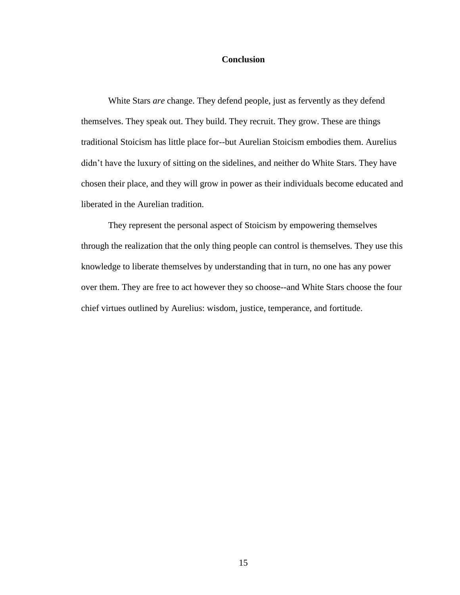## **Conclusion**

White Stars *are* change. They defend people, just as fervently as they defend themselves. They speak out. They build. They recruit. They grow. These are things traditional Stoicism has little place for--but Aurelian Stoicism embodies them. Aurelius didn't have the luxury of sitting on the sidelines, and neither do White Stars. They have chosen their place, and they will grow in power as their individuals become educated and liberated in the Aurelian tradition.

They represent the personal aspect of Stoicism by empowering themselves through the realization that the only thing people can control is themselves. They use this knowledge to liberate themselves by understanding that in turn, no one has any power over them. They are free to act however they so choose--and White Stars choose the four chief virtues outlined by Aurelius: wisdom, justice, temperance, and fortitude.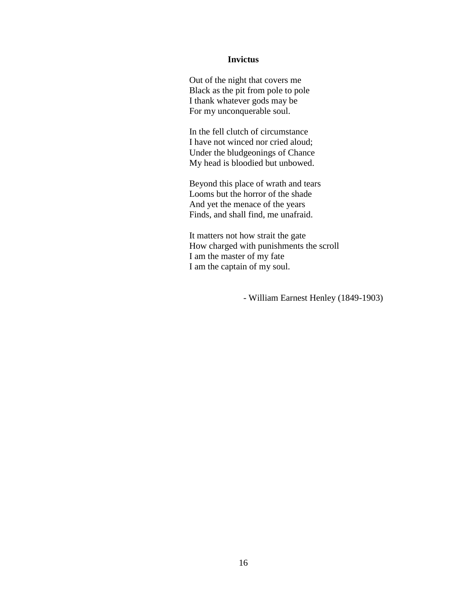## **Invictus**

Out of the night that covers me Black as the pit from pole to pole I thank whatever gods may be For my unconquerable soul.

In the fell clutch of circumstance I have not winced nor cried aloud; Under the bludgeonings of Chance My head is bloodied but unbowed.

Beyond this place of wrath and tears Looms but the horror of the shade And yet the menace of the years Finds, and shall find, me unafraid.

It matters not how strait the gate How charged with punishments the scroll I am the master of my fate I am the captain of my soul.

- William Earnest Henley (1849-1903)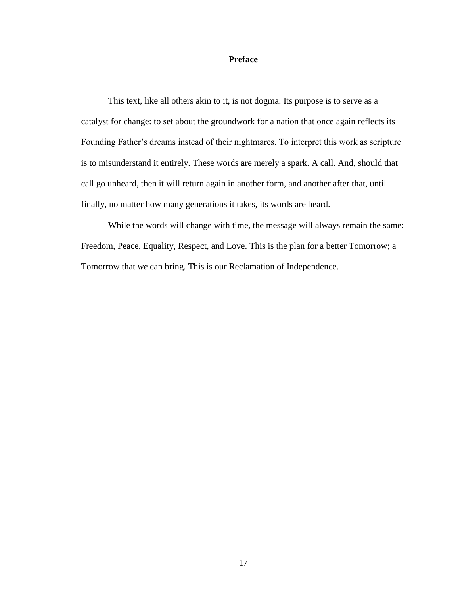## **Preface**

This text, like all others akin to it, is not dogma. Its purpose is to serve as a catalyst for change: to set about the groundwork for a nation that once again reflects its Founding Father's dreams instead of their nightmares. To interpret this work as scripture is to misunderstand it entirely. These words are merely a spark. A call. And, should that call go unheard, then it will return again in another form, and another after that, until finally, no matter how many generations it takes, its words are heard.

While the words will change with time, the message will always remain the same: Freedom, Peace, Equality, Respect, and Love. This is the plan for a better Tomorrow; a Tomorrow that *we* can bring. This is our Reclamation of Independence.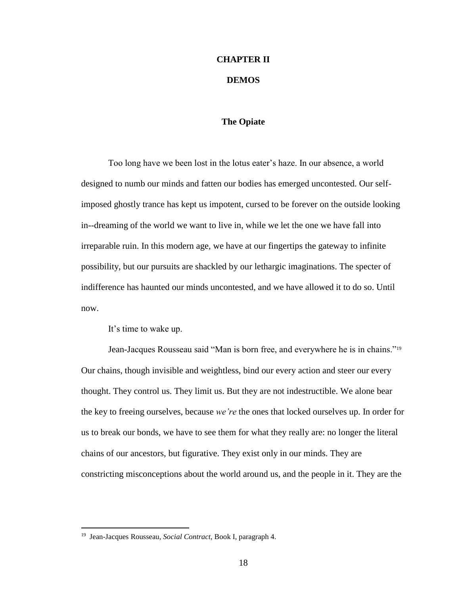## **CHAPTER II**

#### **DEMOS**

#### **The Opiate**

Too long have we been lost in the lotus eater's haze. In our absence, a world designed to numb our minds and fatten our bodies has emerged uncontested. Our selfimposed ghostly trance has kept us impotent, cursed to be forever on the outside looking in--dreaming of the world we want to live in, while we let the one we have fall into irreparable ruin. In this modern age, we have at our fingertips the gateway to infinite possibility, but our pursuits are shackled by our lethargic imaginations. The specter of indifference has haunted our minds uncontested, and we have allowed it to do so. Until now.

It's time to wake up.

Jean-Jacques Rousseau said "Man is born free, and everywhere he is in chains."<sup>19</sup> Our chains, though invisible and weightless, bind our every action and steer our every thought. They control us. They limit us. But they are not indestructible. We alone bear the key to freeing ourselves, because *we're* the ones that locked ourselves up. In order for us to break our bonds, we have to see them for what they really are: no longer the literal chains of our ancestors, but figurative. They exist only in our minds. They are constricting misconceptions about the world around us, and the people in it. They are the

<sup>19</sup> Jean-Jacques Rousseau, *Social Contract*, Book I, paragraph 4.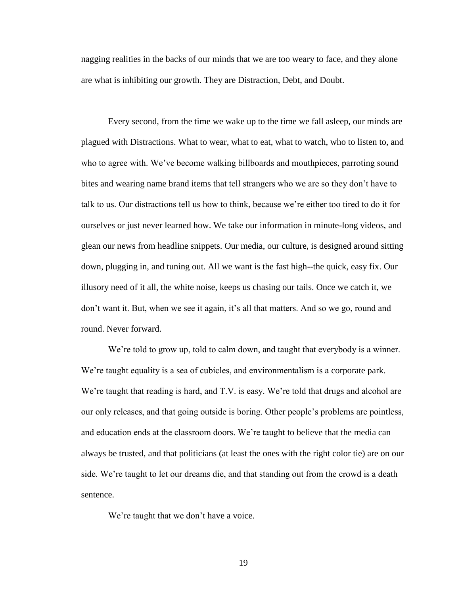nagging realities in the backs of our minds that we are too weary to face, and they alone are what is inhibiting our growth. They are Distraction, Debt, and Doubt.

Every second, from the time we wake up to the time we fall asleep, our minds are plagued with Distractions. What to wear, what to eat, what to watch, who to listen to, and who to agree with. We've become walking billboards and mouthpieces, parroting sound bites and wearing name brand items that tell strangers who we are so they don't have to talk to us. Our distractions tell us how to think, because we're either too tired to do it for ourselves or just never learned how. We take our information in minute-long videos, and glean our news from headline snippets. Our media, our culture, is designed around sitting down, plugging in, and tuning out. All we want is the fast high--the quick, easy fix. Our illusory need of it all, the white noise, keeps us chasing our tails. Once we catch it, we don't want it. But, when we see it again, it's all that matters. And so we go, round and round. Never forward.

We're told to grow up, told to calm down, and taught that everybody is a winner. We're taught equality is a sea of cubicles, and environmentalism is a corporate park. We're taught that reading is hard, and T.V. is easy. We're told that drugs and alcohol are our only releases, and that going outside is boring. Other people's problems are pointless, and education ends at the classroom doors. We're taught to believe that the media can always be trusted, and that politicians (at least the ones with the right color tie) are on our side. We're taught to let our dreams die, and that standing out from the crowd is a death sentence.

We're taught that we don't have a voice.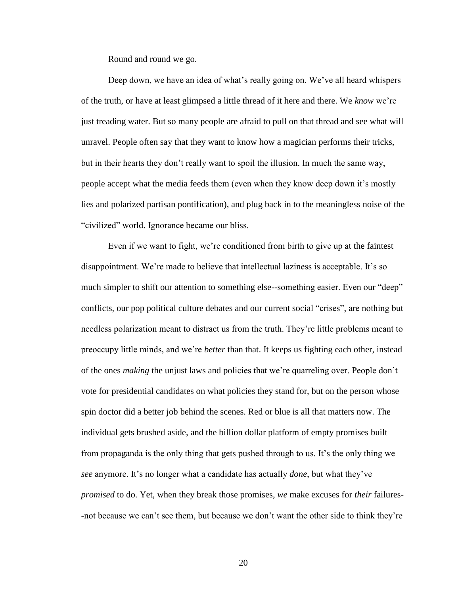Round and round we go.

Deep down, we have an idea of what's really going on. We've all heard whispers of the truth, or have at least glimpsed a little thread of it here and there. We *know* we're just treading water. But so many people are afraid to pull on that thread and see what will unravel. People often say that they want to know how a magician performs their tricks, but in their hearts they don't really want to spoil the illusion. In much the same way, people accept what the media feeds them (even when they know deep down it's mostly lies and polarized partisan pontification), and plug back in to the meaningless noise of the "civilized" world. Ignorance became our bliss.

Even if we want to fight, we're conditioned from birth to give up at the faintest disappointment. We're made to believe that intellectual laziness is acceptable. It's so much simpler to shift our attention to something else--something easier. Even our "deep" conflicts, our pop political culture debates and our current social "crises", are nothing but needless polarization meant to distract us from the truth. They're little problems meant to preoccupy little minds, and we're *better* than that. It keeps us fighting each other, instead of the ones *making* the unjust laws and policies that we're quarreling over. People don't vote for presidential candidates on what policies they stand for, but on the person whose spin doctor did a better job behind the scenes. Red or blue is all that matters now. The individual gets brushed aside, and the billion dollar platform of empty promises built from propaganda is the only thing that gets pushed through to us. It's the only thing we *see* anymore. It's no longer what a candidate has actually *done*, but what they've *promised* to do. Yet, when they break those promises, *we* make excuses for *their* failures- -not because we can't see them, but because we don't want the other side to think they're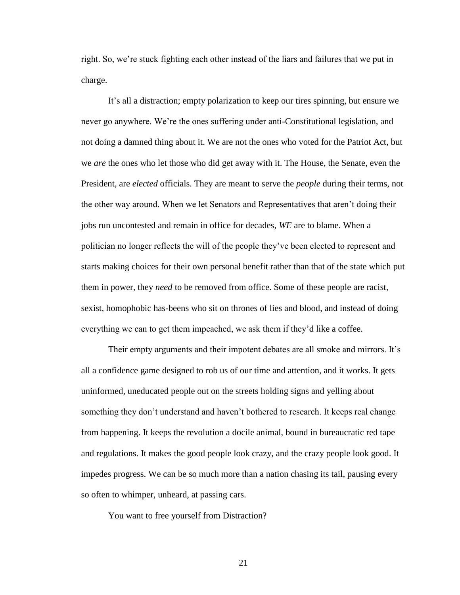right. So, we're stuck fighting each other instead of the liars and failures that we put in charge.

It's all a distraction; empty polarization to keep our tires spinning, but ensure we never go anywhere. We're the ones suffering under anti-Constitutional legislation, and not doing a damned thing about it. We are not the ones who voted for the Patriot Act, but we *are* the ones who let those who did get away with it. The House, the Senate, even the President, are *elected* officials. They are meant to serve the *people* during their terms, not the other way around. When we let Senators and Representatives that aren't doing their jobs run uncontested and remain in office for decades, *WE* are to blame. When a politician no longer reflects the will of the people they've been elected to represent and starts making choices for their own personal benefit rather than that of the state which put them in power, they *need* to be removed from office. Some of these people are racist, sexist, homophobic has-beens who sit on thrones of lies and blood, and instead of doing everything we can to get them impeached, we ask them if they'd like a coffee.

Their empty arguments and their impotent debates are all smoke and mirrors. It's all a confidence game designed to rob us of our time and attention, and it works. It gets uninformed, uneducated people out on the streets holding signs and yelling about something they don't understand and haven't bothered to research. It keeps real change from happening. It keeps the revolution a docile animal, bound in bureaucratic red tape and regulations. It makes the good people look crazy, and the crazy people look good. It impedes progress. We can be so much more than a nation chasing its tail, pausing every so often to whimper, unheard, at passing cars.

You want to free yourself from Distraction?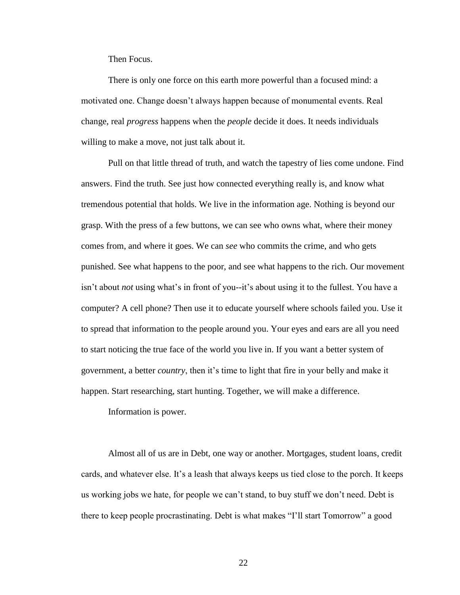Then Focus.

There is only one force on this earth more powerful than a focused mind: a motivated one. Change doesn't always happen because of monumental events. Real change, real *progress* happens when the *people* decide it does. It needs individuals willing to make a move, not just talk about it.

Pull on that little thread of truth, and watch the tapestry of lies come undone. Find answers. Find the truth. See just how connected everything really is, and know what tremendous potential that holds. We live in the information age. Nothing is beyond our grasp. With the press of a few buttons, we can see who owns what, where their money comes from, and where it goes. We can *see* who commits the crime, and who gets punished. See what happens to the poor, and see what happens to the rich. Our movement isn't about *not* using what's in front of you--it's about using it to the fullest. You have a computer? A cell phone? Then use it to educate yourself where schools failed you. Use it to spread that information to the people around you. Your eyes and ears are all you need to start noticing the true face of the world you live in. If you want a better system of government, a better *country*, then it's time to light that fire in your belly and make it happen. Start researching, start hunting. Together, we will make a difference.

Information is power.

Almost all of us are in Debt, one way or another. Mortgages, student loans, credit cards, and whatever else. It's a leash that always keeps us tied close to the porch. It keeps us working jobs we hate, for people we can't stand, to buy stuff we don't need. Debt is there to keep people procrastinating. Debt is what makes "I'll start Tomorrow" a good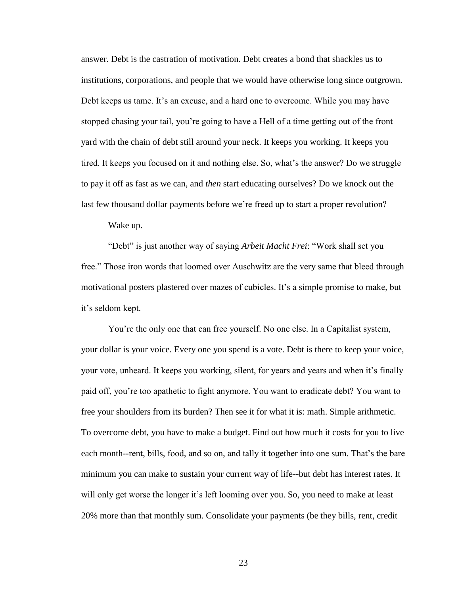answer. Debt is the castration of motivation. Debt creates a bond that shackles us to institutions, corporations, and people that we would have otherwise long since outgrown. Debt keeps us tame. It's an excuse, and a hard one to overcome. While you may have stopped chasing your tail, you're going to have a Hell of a time getting out of the front yard with the chain of debt still around your neck. It keeps you working. It keeps you tired. It keeps you focused on it and nothing else. So, what's the answer? Do we struggle to pay it off as fast as we can, and *then* start educating ourselves? Do we knock out the last few thousand dollar payments before we're freed up to start a proper revolution?

Wake up.

"Debt" is just another way of saying *Arbeit Macht Frei*: "Work shall set you free." Those iron words that loomed over Auschwitz are the very same that bleed through motivational posters plastered over mazes of cubicles. It's a simple promise to make, but it's seldom kept.

You're the only one that can free yourself. No one else. In a Capitalist system, your dollar is your voice. Every one you spend is a vote. Debt is there to keep your voice, your vote, unheard. It keeps you working, silent, for years and years and when it's finally paid off, you're too apathetic to fight anymore. You want to eradicate debt? You want to free your shoulders from its burden? Then see it for what it is: math. Simple arithmetic. To overcome debt, you have to make a budget. Find out how much it costs for you to live each month--rent, bills, food, and so on, and tally it together into one sum. That's the bare minimum you can make to sustain your current way of life--but debt has interest rates. It will only get worse the longer it's left looming over you. So, you need to make at least 20% more than that monthly sum. Consolidate your payments (be they bills, rent, credit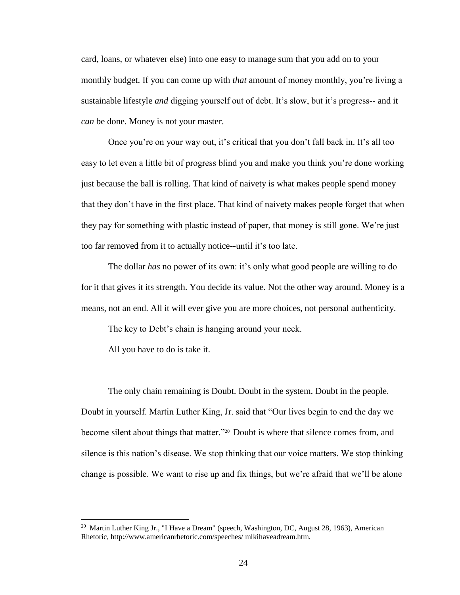card, loans, or whatever else) into one easy to manage sum that you add on to your monthly budget. If you can come up with *that* amount of money monthly, you're living a sustainable lifestyle *and* digging yourself out of debt. It's slow, but it's progress-- and it *can* be done. Money is not your master.

Once you're on your way out, it's critical that you don't fall back in. It's all too easy to let even a little bit of progress blind you and make you think you're done working just because the ball is rolling. That kind of naivety is what makes people spend money that they don't have in the first place. That kind of naivety makes people forget that when they pay for something with plastic instead of paper, that money is still gone. We're just too far removed from it to actually notice--until it's too late.

The dollar *has* no power of its own: it's only what good people are willing to do for it that gives it its strength. You decide its value. Not the other way around. Money is a means, not an end. All it will ever give you are more choices, not personal authenticity.

The key to Debt's chain is hanging around your neck.

All you have to do is take it.

 $\overline{a}$ 

The only chain remaining is Doubt. Doubt in the system. Doubt in the people. Doubt in yourself. Martin Luther King, Jr. said that "Our lives begin to end the day we become silent about things that matter."<sup>20</sup> Doubt is where that silence comes from, and silence is this nation's disease. We stop thinking that our voice matters. We stop thinking change is possible. We want to rise up and fix things, but we're afraid that we'll be alone

<sup>&</sup>lt;sup>20</sup> Martin Luther King Jr., "I Have a Dream" (speech, Washington, DC, August 28, 1963), American Rhetoric, http://www.americanrhetoric.com/speeches/ mlkihaveadream.htm.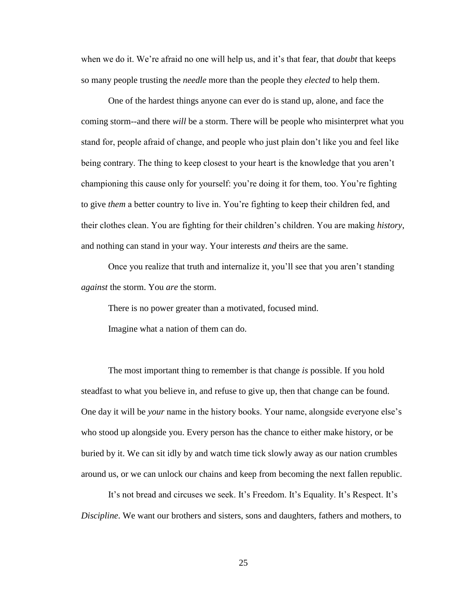when we do it. We're afraid no one will help us, and it's that fear, that *doubt* that keeps so many people trusting the *needle* more than the people they *elected* to help them.

One of the hardest things anyone can ever do is stand up, alone, and face the coming storm--and there *will* be a storm. There will be people who misinterpret what you stand for, people afraid of change, and people who just plain don't like you and feel like being contrary. The thing to keep closest to your heart is the knowledge that you aren't championing this cause only for yourself: you're doing it for them, too. You're fighting to give *them* a better country to live in. You're fighting to keep their children fed, and their clothes clean. You are fighting for their children's children. You are making *history*, and nothing can stand in your way. Your interests *and* theirs are the same.

Once you realize that truth and internalize it, you'll see that you aren't standing *against* the storm. You *are* the storm.

There is no power greater than a motivated, focused mind.

Imagine what a nation of them can do.

The most important thing to remember is that change *is* possible. If you hold steadfast to what you believe in, and refuse to give up, then that change can be found. One day it will be *your* name in the history books. Your name, alongside everyone else's who stood up alongside you. Every person has the chance to either make history, or be buried by it. We can sit idly by and watch time tick slowly away as our nation crumbles around us, or we can unlock our chains and keep from becoming the next fallen republic.

It's not bread and circuses we seek. It's Freedom. It's Equality. It's Respect. It's *Discipline*. We want our brothers and sisters, sons and daughters, fathers and mothers, to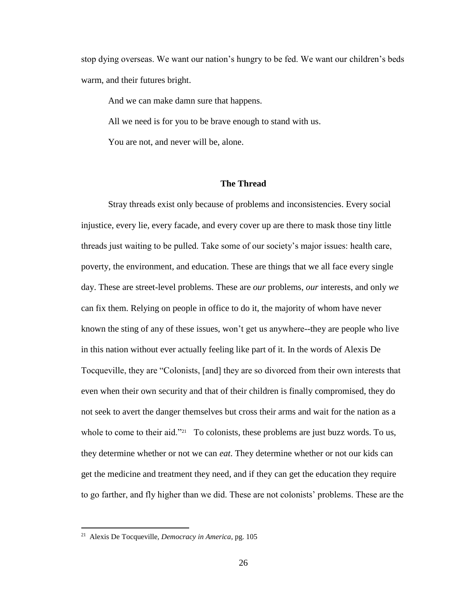stop dying overseas. We want our nation's hungry to be fed. We want our children's beds warm, and their futures bright.

And we can make damn sure that happens.

All we need is for you to be brave enough to stand with us.

You are not, and never will be, alone.

# **The Thread**

Stray threads exist only because of problems and inconsistencies. Every social injustice, every lie, every facade, and every cover up are there to mask those tiny little threads just waiting to be pulled. Take some of our society's major issues: health care, poverty, the environment, and education. These are things that we all face every single day. These are street-level problems. These are *our* problems, *our* interests, and only *we* can fix them. Relying on people in office to do it, the majority of whom have never known the sting of any of these issues, won't get us anywhere--they are people who live in this nation without ever actually feeling like part of it. In the words of Alexis De Tocqueville, they are "Colonists, [and] they are so divorced from their own interests that even when their own security and that of their children is finally compromised, they do not seek to avert the danger themselves but cross their arms and wait for the nation as a whole to come to their aid."<sup>21</sup> To colonists, these problems are just buzz words. To us, they determine whether or not we can *eat*. They determine whether or not our kids can get the medicine and treatment they need, and if they can get the education they require to go farther, and fly higher than we did. These are not colonists' problems. These are the

<sup>21</sup> Alexis De Tocqueville, *Democracy in America*, pg. 105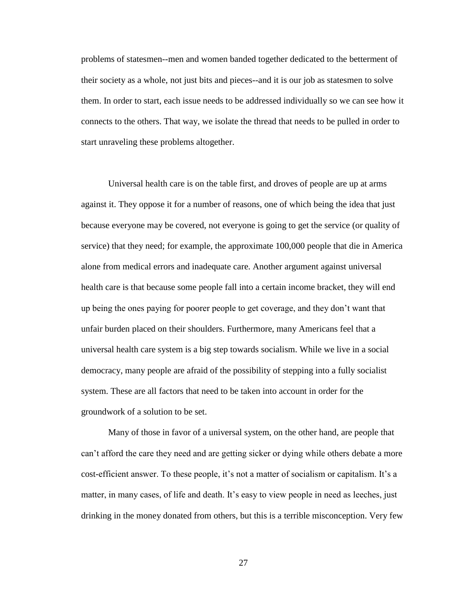problems of statesmen--men and women banded together dedicated to the betterment of their society as a whole, not just bits and pieces--and it is our job as statesmen to solve them. In order to start, each issue needs to be addressed individually so we can see how it connects to the others. That way, we isolate the thread that needs to be pulled in order to start unraveling these problems altogether.

Universal health care is on the table first, and droves of people are up at arms against it. They oppose it for a number of reasons, one of which being the idea that just because everyone may be covered, not everyone is going to get the service (or quality of service) that they need; for example, the approximate 100,000 people that die in America alone from medical errors and inadequate care. Another argument against universal health care is that because some people fall into a certain income bracket, they will end up being the ones paying for poorer people to get coverage, and they don't want that unfair burden placed on their shoulders. Furthermore, many Americans feel that a universal health care system is a big step towards socialism. While we live in a social democracy, many people are afraid of the possibility of stepping into a fully socialist system. These are all factors that need to be taken into account in order for the groundwork of a solution to be set.

Many of those in favor of a universal system, on the other hand, are people that can't afford the care they need and are getting sicker or dying while others debate a more cost-efficient answer. To these people, it's not a matter of socialism or capitalism. It's a matter, in many cases, of life and death. It's easy to view people in need as leeches, just drinking in the money donated from others, but this is a terrible misconception. Very few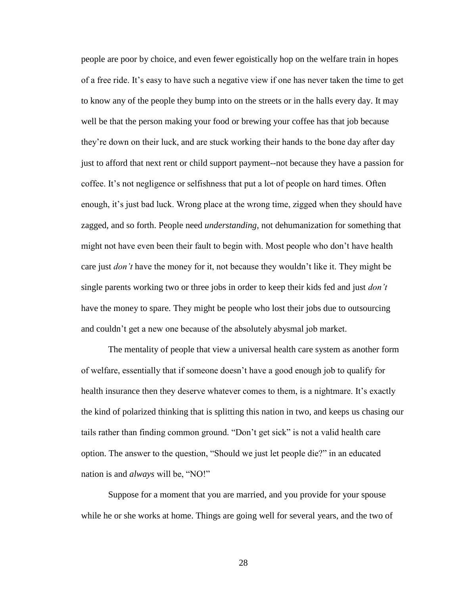people are poor by choice, and even fewer egoistically hop on the welfare train in hopes of a free ride. It's easy to have such a negative view if one has never taken the time to get to know any of the people they bump into on the streets or in the halls every day. It may well be that the person making your food or brewing your coffee has that job because they're down on their luck, and are stuck working their hands to the bone day after day just to afford that next rent or child support payment--not because they have a passion for coffee. It's not negligence or selfishness that put a lot of people on hard times. Often enough, it's just bad luck. Wrong place at the wrong time, zigged when they should have zagged, and so forth. People need *understanding*, not dehumanization for something that might not have even been their fault to begin with. Most people who don't have health care just *don't* have the money for it, not because they wouldn't like it. They might be single parents working two or three jobs in order to keep their kids fed and just *don't* have the money to spare. They might be people who lost their jobs due to outsourcing and couldn't get a new one because of the absolutely abysmal job market.

The mentality of people that view a universal health care system as another form of welfare, essentially that if someone doesn't have a good enough job to qualify for health insurance then they deserve whatever comes to them, is a nightmare. It's exactly the kind of polarized thinking that is splitting this nation in two, and keeps us chasing our tails rather than finding common ground. "Don't get sick" is not a valid health care option. The answer to the question, "Should we just let people die?" in an educated nation is and *always* will be, "NO!"

Suppose for a moment that you are married, and you provide for your spouse while he or she works at home. Things are going well for several years, and the two of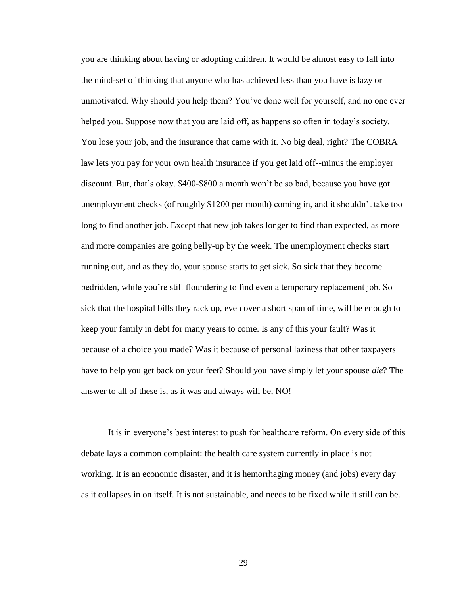you are thinking about having or adopting children. It would be almost easy to fall into the mind-set of thinking that anyone who has achieved less than you have is lazy or unmotivated. Why should you help them? You've done well for yourself, and no one ever helped you. Suppose now that you are laid off, as happens so often in today's society. You lose your job, and the insurance that came with it. No big deal, right? The COBRA law lets you pay for your own health insurance if you get laid off--minus the employer discount. But, that's okay. \$400-\$800 a month won't be so bad, because you have got unemployment checks (of roughly \$1200 per month) coming in, and it shouldn't take too long to find another job. Except that new job takes longer to find than expected, as more and more companies are going belly-up by the week. The unemployment checks start running out, and as they do, your spouse starts to get sick. So sick that they become bedridden, while you're still floundering to find even a temporary replacement job. So sick that the hospital bills they rack up, even over a short span of time, will be enough to keep your family in debt for many years to come. Is any of this your fault? Was it because of a choice you made? Was it because of personal laziness that other taxpayers have to help you get back on your feet? Should you have simply let your spouse *die*? The answer to all of these is, as it was and always will be, NO!

It is in everyone's best interest to push for healthcare reform. On every side of this debate lays a common complaint: the health care system currently in place is not working. It is an economic disaster, and it is hemorrhaging money (and jobs) every day as it collapses in on itself. It is not sustainable, and needs to be fixed while it still can be.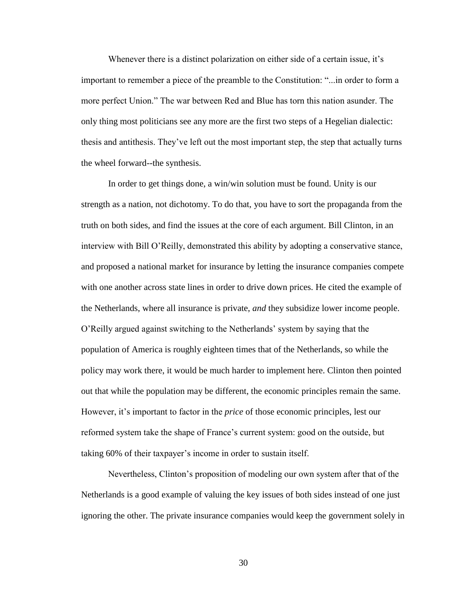Whenever there is a distinct polarization on either side of a certain issue, it's important to remember a piece of the preamble to the Constitution: "...in order to form a more perfect Union." The war between Red and Blue has torn this nation asunder. The only thing most politicians see any more are the first two steps of a Hegelian dialectic: thesis and antithesis. They've left out the most important step, the step that actually turns the wheel forward--the synthesis.

In order to get things done, a win/win solution must be found. Unity is our strength as a nation, not dichotomy. To do that, you have to sort the propaganda from the truth on both sides, and find the issues at the core of each argument. Bill Clinton, in an interview with Bill O'Reilly, demonstrated this ability by adopting a conservative stance, and proposed a national market for insurance by letting the insurance companies compete with one another across state lines in order to drive down prices. He cited the example of the Netherlands, where all insurance is private, *and* they subsidize lower income people. O'Reilly argued against switching to the Netherlands' system by saying that the population of America is roughly eighteen times that of the Netherlands, so while the policy may work there, it would be much harder to implement here. Clinton then pointed out that while the population may be different, the economic principles remain the same. However, it's important to factor in the *price* of those economic principles, lest our reformed system take the shape of France's current system: good on the outside, but taking 60% of their taxpayer's income in order to sustain itself.

Nevertheless, Clinton's proposition of modeling our own system after that of the Netherlands is a good example of valuing the key issues of both sides instead of one just ignoring the other. The private insurance companies would keep the government solely in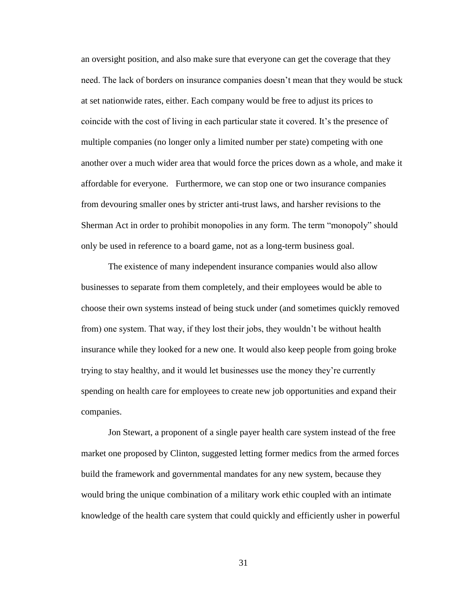an oversight position, and also make sure that everyone can get the coverage that they need. The lack of borders on insurance companies doesn't mean that they would be stuck at set nationwide rates, either. Each company would be free to adjust its prices to coincide with the cost of living in each particular state it covered. It's the presence of multiple companies (no longer only a limited number per state) competing with one another over a much wider area that would force the prices down as a whole, and make it affordable for everyone. Furthermore, we can stop one or two insurance companies from devouring smaller ones by stricter anti-trust laws, and harsher revisions to the Sherman Act in order to prohibit monopolies in any form. The term "monopoly" should only be used in reference to a board game, not as a long-term business goal.

The existence of many independent insurance companies would also allow businesses to separate from them completely, and their employees would be able to choose their own systems instead of being stuck under (and sometimes quickly removed from) one system. That way, if they lost their jobs, they wouldn't be without health insurance while they looked for a new one. It would also keep people from going broke trying to stay healthy, and it would let businesses use the money they're currently spending on health care for employees to create new job opportunities and expand their companies.

Jon Stewart, a proponent of a single payer health care system instead of the free market one proposed by Clinton, suggested letting former medics from the armed forces build the framework and governmental mandates for any new system, because they would bring the unique combination of a military work ethic coupled with an intimate knowledge of the health care system that could quickly and efficiently usher in powerful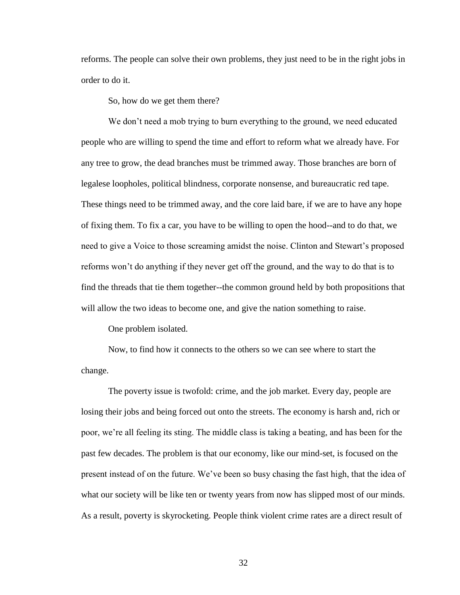reforms. The people can solve their own problems, they just need to be in the right jobs in order to do it.

So, how do we get them there?

We don't need a mob trying to burn everything to the ground, we need educated people who are willing to spend the time and effort to reform what we already have. For any tree to grow, the dead branches must be trimmed away. Those branches are born of legalese loopholes, political blindness, corporate nonsense, and bureaucratic red tape. These things need to be trimmed away, and the core laid bare, if we are to have any hope of fixing them. To fix a car, you have to be willing to open the hood--and to do that, we need to give a Voice to those screaming amidst the noise. Clinton and Stewart's proposed reforms won't do anything if they never get off the ground, and the way to do that is to find the threads that tie them together--the common ground held by both propositions that will allow the two ideas to become one, and give the nation something to raise.

One problem isolated.

Now, to find how it connects to the others so we can see where to start the change.

The poverty issue is twofold: crime, and the job market. Every day, people are losing their jobs and being forced out onto the streets. The economy is harsh and, rich or poor, we're all feeling its sting. The middle class is taking a beating, and has been for the past few decades. The problem is that our economy, like our mind-set, is focused on the present instead of on the future. We've been so busy chasing the fast high, that the idea of what our society will be like ten or twenty years from now has slipped most of our minds. As a result, poverty is skyrocketing. People think violent crime rates are a direct result of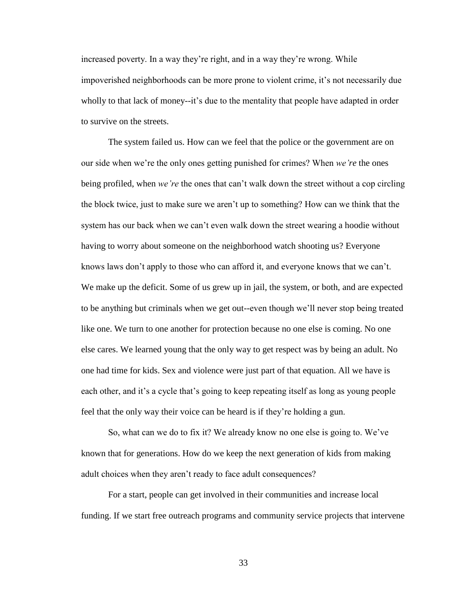increased poverty. In a way they're right, and in a way they're wrong. While impoverished neighborhoods can be more prone to violent crime, it's not necessarily due wholly to that lack of money--it's due to the mentality that people have adapted in order to survive on the streets.

The system failed us. How can we feel that the police or the government are on our side when we're the only ones getting punished for crimes? When *we're* the ones being profiled, when *we're* the ones that can't walk down the street without a cop circling the block twice, just to make sure we aren't up to something? How can we think that the system has our back when we can't even walk down the street wearing a hoodie without having to worry about someone on the neighborhood watch shooting us? Everyone knows laws don't apply to those who can afford it, and everyone knows that we can't. We make up the deficit. Some of us grew up in jail, the system, or both, and are expected to be anything but criminals when we get out--even though we'll never stop being treated like one. We turn to one another for protection because no one else is coming. No one else cares. We learned young that the only way to get respect was by being an adult. No one had time for kids. Sex and violence were just part of that equation. All we have is each other, and it's a cycle that's going to keep repeating itself as long as young people feel that the only way their voice can be heard is if they're holding a gun.

So, what can we do to fix it? We already know no one else is going to. We've known that for generations. How do we keep the next generation of kids from making adult choices when they aren't ready to face adult consequences?

For a start, people can get involved in their communities and increase local funding. If we start free outreach programs and community service projects that intervene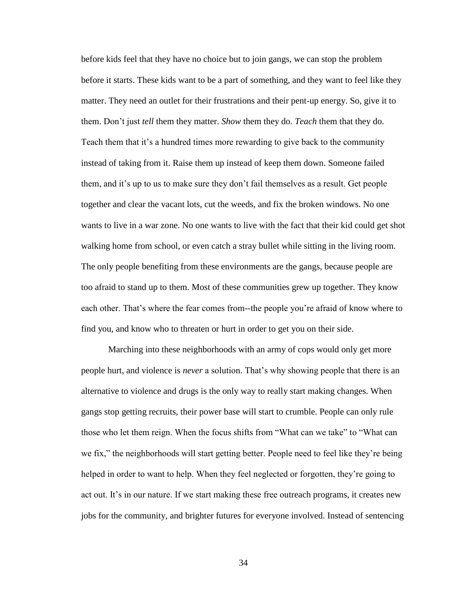before kids feel that they have no choice but to join gangs, we can stop the problem before it starts. These kids want to be a part of something, and they want to feel like they matter. They need an outlet for their frustrations and their pent-up energy. So, give it to them. Don't just *tell* them they matter. *Show* them they do. *Teach* them that they do. Teach them that it's a hundred times more rewarding to give back to the community instead of taking from it. Raise them up instead of keep them down. Someone failed them, and it's up to us to make sure they don't fail themselves as a result. Get people together and clear the vacant lots, cut the weeds, and fix the broken windows. No one wants to live in a war zone. No one wants to live with the fact that their kid could get shot walking home from school, or even catch a stray bullet while sitting in the living room. The only people benefiting from these environments are the gangs, because people are too afraid to stand up to them. Most of these communities grew up together. They know each other. That's where the fear comes from--the people you're afraid of know where to find you, and know who to threaten or hurt in order to get you on their side.

Marching into these neighborhoods with an army of cops would only get more people hurt, and violence is *never* a solution. That's why showing people that there is an alternative to violence and drugs is the only way to really start making changes. When gangs stop getting recruits, their power base will start to crumble. People can only rule those who let them reign. When the focus shifts from "What can we take" to "What can we fix," the neighborhoods will start getting better. People need to feel like they're being helped in order to want to help. When they feel neglected or forgotten, they're going to act out. It's in our nature. If we start making these free outreach programs, it creates new jobs for the community, and brighter futures for everyone involved. Instead of sentencing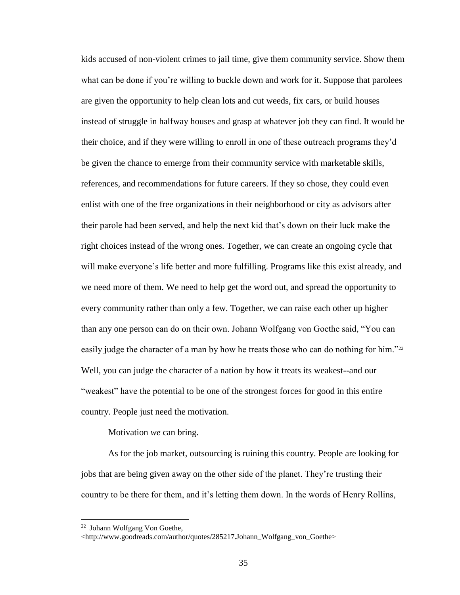kids accused of non-violent crimes to jail time, give them community service. Show them what can be done if you're willing to buckle down and work for it. Suppose that parolees are given the opportunity to help clean lots and cut weeds, fix cars, or build houses instead of struggle in halfway houses and grasp at whatever job they can find. It would be their choice, and if they were willing to enroll in one of these outreach programs they'd be given the chance to emerge from their community service with marketable skills, references, and recommendations for future careers. If they so chose, they could even enlist with one of the free organizations in their neighborhood or city as advisors after their parole had been served, and help the next kid that's down on their luck make the right choices instead of the wrong ones. Together, we can create an ongoing cycle that will make everyone's life better and more fulfilling. Programs like this exist already, and we need more of them. We need to help get the word out, and spread the opportunity to every community rather than only a few. Together, we can raise each other up higher than any one person can do on their own. Johann Wolfgang von Goethe said, "You can easily judge the character of a man by how he treats those who can do nothing for him."<sup>22</sup> Well, you can judge the character of a nation by how it treats its weakest--and our "weakest" have the potential to be one of the strongest forces for good in this entire country. People just need the motivation.

### Motivation *we* can bring.

As for the job market, outsourcing is ruining this country. People are looking for jobs that are being given away on the other side of the planet. They're trusting their country to be there for them, and it's letting them down. In the words of Henry Rollins,

 $\overline{a}$ 

<sup>22</sup> Johann Wolfgang Von Goethe,

<sup>&</sup>lt;http://www.goodreads.com/author/quotes/285217.Johann\_Wolfgang\_von\_Goethe>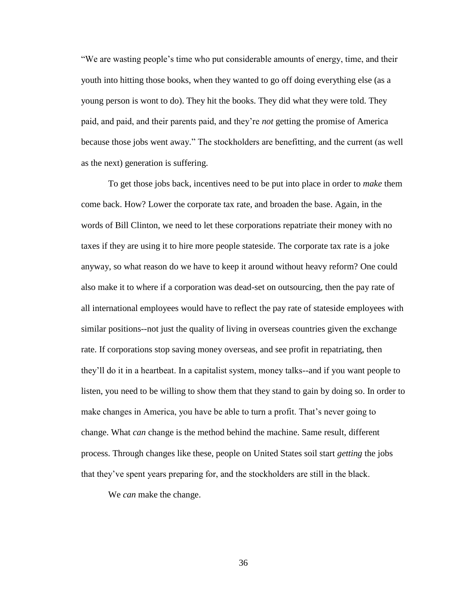"We are wasting people's time who put considerable amounts of energy, time, and their youth into hitting those books, when they wanted to go off doing everything else (as a young person is wont to do). They hit the books. They did what they were told. They paid, and paid, and their parents paid, and they're *not* getting the promise of America because those jobs went away." The stockholders are benefitting, and the current (as well as the next) generation is suffering.

To get those jobs back, incentives need to be put into place in order to *make* them come back. How? Lower the corporate tax rate, and broaden the base. Again, in the words of Bill Clinton, we need to let these corporations repatriate their money with no taxes if they are using it to hire more people stateside. The corporate tax rate is a joke anyway, so what reason do we have to keep it around without heavy reform? One could also make it to where if a corporation was dead-set on outsourcing, then the pay rate of all international employees would have to reflect the pay rate of stateside employees with similar positions--not just the quality of living in overseas countries given the exchange rate. If corporations stop saving money overseas, and see profit in repatriating, then they'll do it in a heartbeat. In a capitalist system, money talks--and if you want people to listen, you need to be willing to show them that they stand to gain by doing so. In order to make changes in America, you have be able to turn a profit. That's never going to change. What *can* change is the method behind the machine. Same result, different process. Through changes like these, people on United States soil start *getting* the jobs that they've spent years preparing for, and the stockholders are still in the black.

We *can* make the change.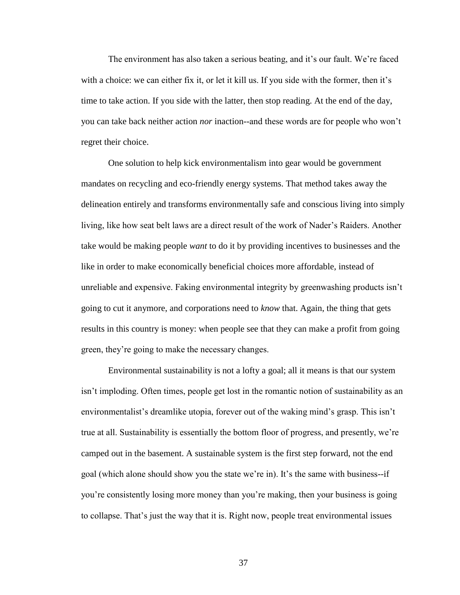The environment has also taken a serious beating, and it's our fault. We're faced with a choice: we can either fix it, or let it kill us. If you side with the former, then it's time to take action. If you side with the latter, then stop reading. At the end of the day, you can take back neither action *nor* inaction--and these words are for people who won't regret their choice.

One solution to help kick environmentalism into gear would be government mandates on recycling and eco-friendly energy systems. That method takes away the delineation entirely and transforms environmentally safe and conscious living into simply living, like how seat belt laws are a direct result of the work of Nader's Raiders. Another take would be making people *want* to do it by providing incentives to businesses and the like in order to make economically beneficial choices more affordable, instead of unreliable and expensive. Faking environmental integrity by greenwashing products isn't going to cut it anymore, and corporations need to *know* that. Again, the thing that gets results in this country is money: when people see that they can make a profit from going green, they're going to make the necessary changes.

Environmental sustainability is not a lofty a goal; all it means is that our system isn't imploding. Often times, people get lost in the romantic notion of sustainability as an environmentalist's dreamlike utopia, forever out of the waking mind's grasp. This isn't true at all. Sustainability is essentially the bottom floor of progress, and presently, we're camped out in the basement. A sustainable system is the first step forward, not the end goal (which alone should show you the state we're in). It's the same with business--if you're consistently losing more money than you're making, then your business is going to collapse. That's just the way that it is. Right now, people treat environmental issues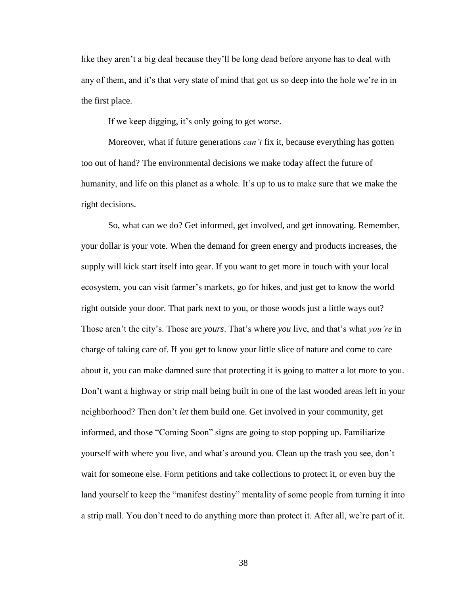like they aren't a big deal because they'll be long dead before anyone has to deal with any of them, and it's that very state of mind that got us so deep into the hole we're in in the first place.

If we keep digging, it's only going to get worse.

Moreover, what if future generations *can't* fix it, because everything has gotten too out of hand? The environmental decisions we make today affect the future of humanity, and life on this planet as a whole. It's up to us to make sure that we make the right decisions.

So, what can we do? Get informed, get involved, and get innovating. Remember, your dollar is your vote. When the demand for green energy and products increases, the supply will kick start itself into gear. If you want to get more in touch with your local ecosystem, you can visit farmer's markets, go for hikes, and just get to know the world right outside your door. That park next to you, or those woods just a little ways out? Those aren't the city's. Those are *yours*. That's where *you* live, and that's what *you're* in charge of taking care of. If you get to know your little slice of nature and come to care about it, you can make damned sure that protecting it is going to matter a lot more to you. Don't want a highway or strip mall being built in one of the last wooded areas left in your neighborhood? Then don't *let* them build one. Get involved in your community, get informed, and those "Coming Soon" signs are going to stop popping up. Familiarize yourself with where you live, and what's around you. Clean up the trash you see, don't wait for someone else. Form petitions and take collections to protect it, or even buy the land yourself to keep the "manifest destiny" mentality of some people from turning it into a strip mall. You don't need to do anything more than protect it. After all, we're part of it.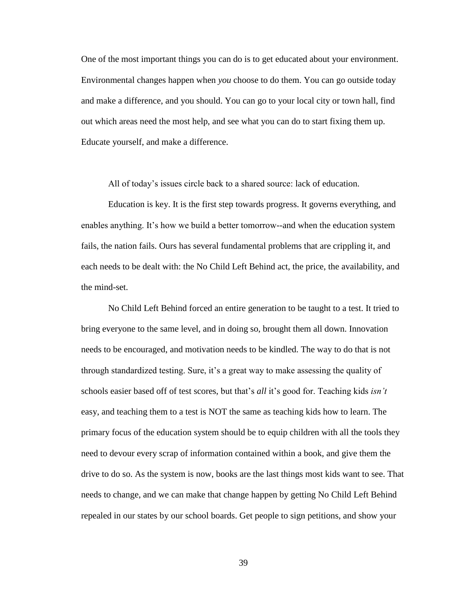One of the most important things you can do is to get educated about your environment. Environmental changes happen when *you* choose to do them. You can go outside today and make a difference, and you should. You can go to your local city or town hall, find out which areas need the most help, and see what you can do to start fixing them up. Educate yourself, and make a difference.

All of today's issues circle back to a shared source: lack of education.

Education is key. It is the first step towards progress. It governs everything, and enables anything. It's how we build a better tomorrow--and when the education system fails, the nation fails. Ours has several fundamental problems that are crippling it, and each needs to be dealt with: the No Child Left Behind act, the price, the availability, and the mind-set.

No Child Left Behind forced an entire generation to be taught to a test. It tried to bring everyone to the same level, and in doing so, brought them all down. Innovation needs to be encouraged, and motivation needs to be kindled. The way to do that is not through standardized testing. Sure, it's a great way to make assessing the quality of schools easier based off of test scores, but that's *all* it's good for. Teaching kids *isn't* easy, and teaching them to a test is NOT the same as teaching kids how to learn. The primary focus of the education system should be to equip children with all the tools they need to devour every scrap of information contained within a book, and give them the drive to do so. As the system is now, books are the last things most kids want to see. That needs to change, and we can make that change happen by getting No Child Left Behind repealed in our states by our school boards. Get people to sign petitions, and show your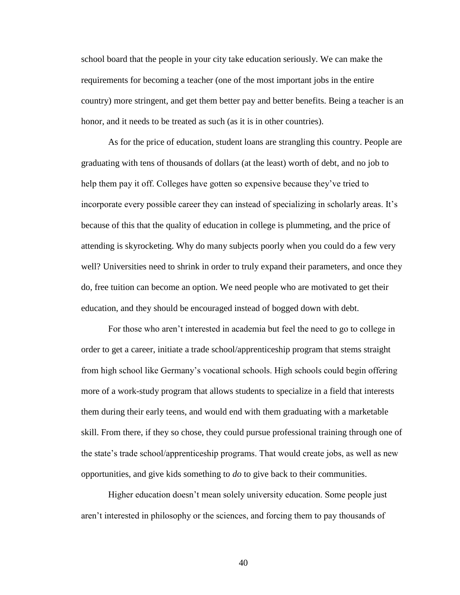school board that the people in your city take education seriously. We can make the requirements for becoming a teacher (one of the most important jobs in the entire country) more stringent, and get them better pay and better benefits. Being a teacher is an honor, and it needs to be treated as such (as it is in other countries).

As for the price of education, student loans are strangling this country. People are graduating with tens of thousands of dollars (at the least) worth of debt, and no job to help them pay it off. Colleges have gotten so expensive because they've tried to incorporate every possible career they can instead of specializing in scholarly areas. It's because of this that the quality of education in college is plummeting, and the price of attending is skyrocketing. Why do many subjects poorly when you could do a few very well? Universities need to shrink in order to truly expand their parameters, and once they do, free tuition can become an option. We need people who are motivated to get their education, and they should be encouraged instead of bogged down with debt.

For those who aren't interested in academia but feel the need to go to college in order to get a career, initiate a trade school/apprenticeship program that stems straight from high school like Germany's vocational schools. High schools could begin offering more of a work-study program that allows students to specialize in a field that interests them during their early teens, and would end with them graduating with a marketable skill. From there, if they so chose, they could pursue professional training through one of the state's trade school/apprenticeship programs. That would create jobs, as well as new opportunities, and give kids something to *do* to give back to their communities.

Higher education doesn't mean solely university education. Some people just aren't interested in philosophy or the sciences, and forcing them to pay thousands of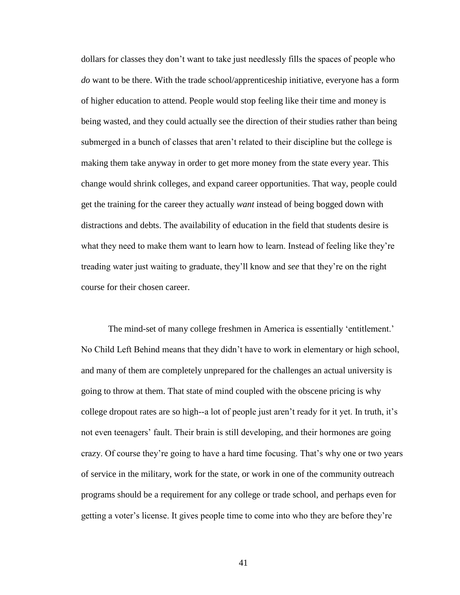dollars for classes they don't want to take just needlessly fills the spaces of people who *do* want to be there. With the trade school/apprenticeship initiative, everyone has a form of higher education to attend. People would stop feeling like their time and money is being wasted, and they could actually see the direction of their studies rather than being submerged in a bunch of classes that aren't related to their discipline but the college is making them take anyway in order to get more money from the state every year. This change would shrink colleges, and expand career opportunities. That way, people could get the training for the career they actually *want* instead of being bogged down with distractions and debts. The availability of education in the field that students desire is what they need to make them want to learn how to learn. Instead of feeling like they're treading water just waiting to graduate, they'll know and *see* that they're on the right course for their chosen career.

The mind-set of many college freshmen in America is essentially 'entitlement.' No Child Left Behind means that they didn't have to work in elementary or high school, and many of them are completely unprepared for the challenges an actual university is going to throw at them. That state of mind coupled with the obscene pricing is why college dropout rates are so high--a lot of people just aren't ready for it yet. In truth, it's not even teenagers' fault. Their brain is still developing, and their hormones are going crazy. Of course they're going to have a hard time focusing. That's why one or two years of service in the military, work for the state, or work in one of the community outreach programs should be a requirement for any college or trade school, and perhaps even for getting a voter's license. It gives people time to come into who they are before they're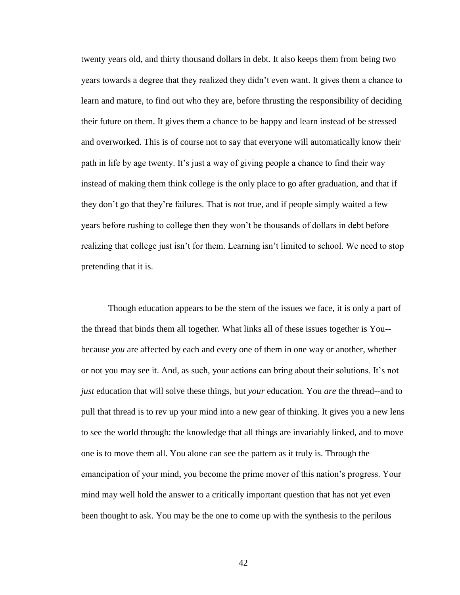twenty years old, and thirty thousand dollars in debt. It also keeps them from being two years towards a degree that they realized they didn't even want. It gives them a chance to learn and mature, to find out who they are, before thrusting the responsibility of deciding their future on them. It gives them a chance to be happy and learn instead of be stressed and overworked. This is of course not to say that everyone will automatically know their path in life by age twenty. It's just a way of giving people a chance to find their way instead of making them think college is the only place to go after graduation, and that if they don't go that they're failures. That is *not* true, and if people simply waited a few years before rushing to college then they won't be thousands of dollars in debt before realizing that college just isn't for them. Learning isn't limited to school. We need to stop pretending that it is.

Though education appears to be the stem of the issues we face, it is only a part of the thread that binds them all together. What links all of these issues together is You- because *you* are affected by each and every one of them in one way or another, whether or not you may see it. And, as such, your actions can bring about their solutions. It's not *just* education that will solve these things, but *your* education. You *are* the thread--and to pull that thread is to rev up your mind into a new gear of thinking. It gives you a new lens to see the world through: the knowledge that all things are invariably linked, and to move one is to move them all. You alone can see the pattern as it truly is. Through the emancipation of your mind, you become the prime mover of this nation's progress. Your mind may well hold the answer to a critically important question that has not yet even been thought to ask. You may be the one to come up with the synthesis to the perilous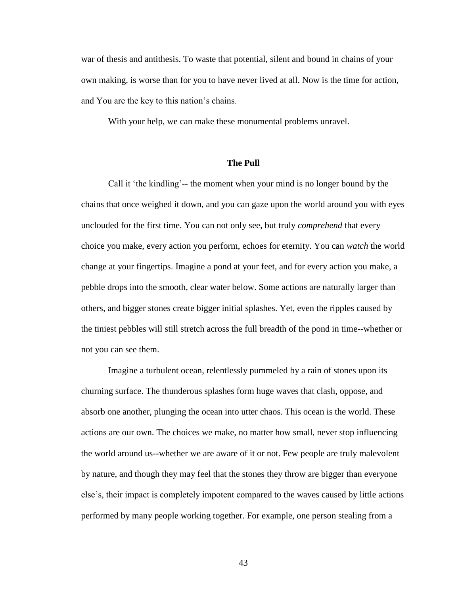war of thesis and antithesis. To waste that potential, silent and bound in chains of your own making, is worse than for you to have never lived at all. Now is the time for action, and You are the key to this nation's chains.

With your help, we can make these monumental problems unravel.

### **The Pull**

Call it 'the kindling'-- the moment when your mind is no longer bound by the chains that once weighed it down, and you can gaze upon the world around you with eyes unclouded for the first time. You can not only see, but truly *comprehend* that every choice you make, every action you perform, echoes for eternity. You can *watch* the world change at your fingertips. Imagine a pond at your feet, and for every action you make, a pebble drops into the smooth, clear water below. Some actions are naturally larger than others, and bigger stones create bigger initial splashes. Yet, even the ripples caused by the tiniest pebbles will still stretch across the full breadth of the pond in time--whether or not you can see them.

Imagine a turbulent ocean, relentlessly pummeled by a rain of stones upon its churning surface. The thunderous splashes form huge waves that clash, oppose, and absorb one another, plunging the ocean into utter chaos. This ocean is the world. These actions are our own. The choices we make, no matter how small, never stop influencing the world around us--whether we are aware of it or not. Few people are truly malevolent by nature, and though they may feel that the stones they throw are bigger than everyone else's, their impact is completely impotent compared to the waves caused by little actions performed by many people working together. For example, one person stealing from a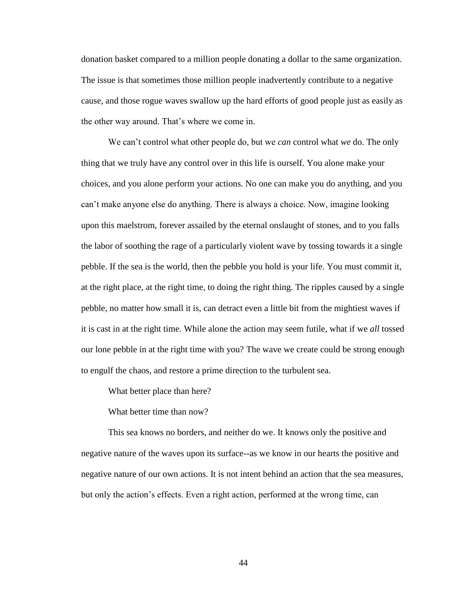donation basket compared to a million people donating a dollar to the same organization. The issue is that sometimes those million people inadvertently contribute to a negative cause, and those rogue waves swallow up the hard efforts of good people just as easily as the other way around. That's where we come in.

We can't control what other people do, but we *can* control what *we* do. The only thing that we truly have any control over in this life is ourself. You alone make your choices, and you alone perform your actions. No one can make you do anything, and you can't make anyone else do anything. There is always a choice. Now, imagine looking upon this maelstrom, forever assailed by the eternal onslaught of stones, and to you falls the labor of soothing the rage of a particularly violent wave by tossing towards it a single pebble. If the sea is the world, then the pebble you hold is your life. You must commit it, at the right place, at the right time, to doing the right thing. The ripples caused by a single pebble, no matter how small it is, can detract even a little bit from the mightiest waves if it is cast in at the right time. While alone the action may seem futile, what if we *all* tossed our lone pebble in at the right time with you? The wave we create could be strong enough to engulf the chaos, and restore a prime direction to the turbulent sea.

What better place than here?

What better time than now?

This sea knows no borders, and neither do we. It knows only the positive and negative nature of the waves upon its surface--as we know in our hearts the positive and negative nature of our own actions. It is not intent behind an action that the sea measures, but only the action's effects. Even a right action, performed at the wrong time, can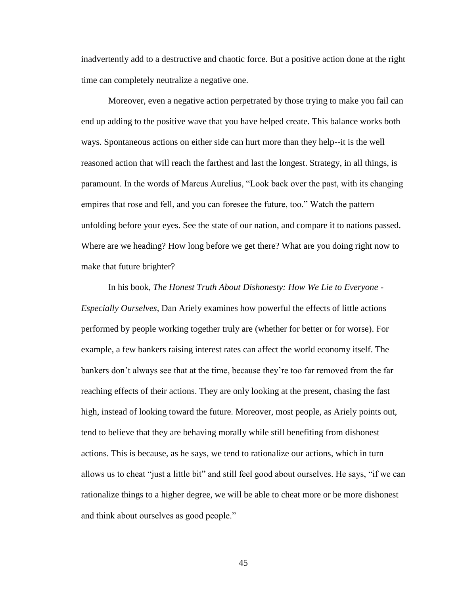inadvertently add to a destructive and chaotic force. But a positive action done at the right time can completely neutralize a negative one.

Moreover, even a negative action perpetrated by those trying to make you fail can end up adding to the positive wave that you have helped create. This balance works both ways. Spontaneous actions on either side can hurt more than they help--it is the well reasoned action that will reach the farthest and last the longest. Strategy, in all things, is paramount. In the words of Marcus Aurelius, "Look back over the past, with its changing empires that rose and fell, and you can foresee the future, too." Watch the pattern unfolding before your eyes. See the state of our nation, and compare it to nations passed. Where are we heading? How long before we get there? What are you doing right now to make that future brighter?

In his book, *The Honest Truth About Dishonesty: How We Lie to Everyone - Especially Ourselves*, Dan Ariely examines how powerful the effects of little actions performed by people working together truly are (whether for better or for worse). For example, a few bankers raising interest rates can affect the world economy itself. The bankers don't always see that at the time, because they're too far removed from the far reaching effects of their actions. They are only looking at the present, chasing the fast high, instead of looking toward the future. Moreover, most people, as Ariely points out, tend to believe that they are behaving morally while still benefiting from dishonest actions. This is because, as he says, we tend to rationalize our actions, which in turn allows us to cheat "just a little bit" and still feel good about ourselves. He says, "if we can rationalize things to a higher degree, we will be able to cheat more or be more dishonest and think about ourselves as good people."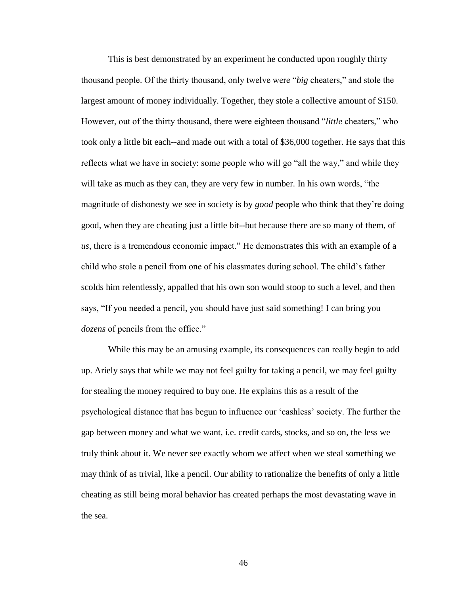This is best demonstrated by an experiment he conducted upon roughly thirty thousand people. Of the thirty thousand, only twelve were "*big* cheaters," and stole the largest amount of money individually. Together, they stole a collective amount of \$150. However, out of the thirty thousand, there were eighteen thousand "*little* cheaters," who took only a little bit each--and made out with a total of \$36,000 together. He says that this reflects what we have in society: some people who will go "all the way," and while they will take as much as they can, they are very few in number. In his own words, "the magnitude of dishonesty we see in society is by *good* people who think that they're doing good, when they are cheating just a little bit--but because there are so many of them, of *us*, there is a tremendous economic impact." He demonstrates this with an example of a child who stole a pencil from one of his classmates during school. The child's father scolds him relentlessly, appalled that his own son would stoop to such a level, and then says, "If you needed a pencil, you should have just said something! I can bring you *dozens* of pencils from the office."

While this may be an amusing example, its consequences can really begin to add up. Ariely says that while we may not feel guilty for taking a pencil, we may feel guilty for stealing the money required to buy one. He explains this as a result of the psychological distance that has begun to influence our 'cashless' society. The further the gap between money and what we want, i.e. credit cards, stocks, and so on, the less we truly think about it. We never see exactly whom we affect when we steal something we may think of as trivial, like a pencil. Our ability to rationalize the benefits of only a little cheating as still being moral behavior has created perhaps the most devastating wave in the sea.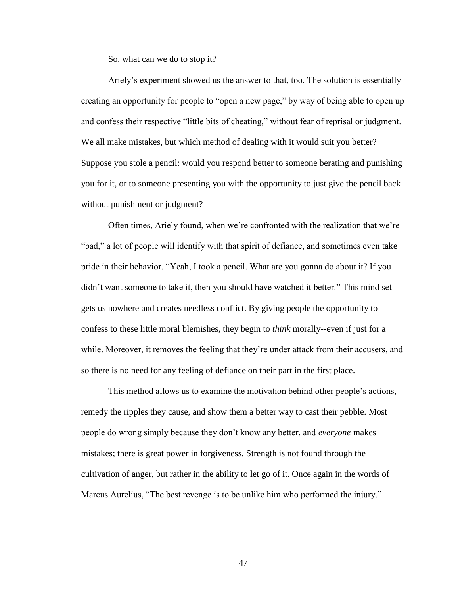So, what can we do to stop it?

Ariely's experiment showed us the answer to that, too. The solution is essentially creating an opportunity for people to "open a new page," by way of being able to open up and confess their respective "little bits of cheating," without fear of reprisal or judgment. We all make mistakes, but which method of dealing with it would suit you better? Suppose you stole a pencil: would you respond better to someone berating and punishing you for it, or to someone presenting you with the opportunity to just give the pencil back without punishment or judgment?

Often times, Ariely found, when we're confronted with the realization that we're "bad," a lot of people will identify with that spirit of defiance, and sometimes even take pride in their behavior. "Yeah, I took a pencil. What are you gonna do about it? If you didn't want someone to take it, then you should have watched it better." This mind set gets us nowhere and creates needless conflict. By giving people the opportunity to confess to these little moral blemishes, they begin to *think* morally--even if just for a while. Moreover, it removes the feeling that they're under attack from their accusers, and so there is no need for any feeling of defiance on their part in the first place.

This method allows us to examine the motivation behind other people's actions, remedy the ripples they cause, and show them a better way to cast their pebble. Most people do wrong simply because they don't know any better, and *everyone* makes mistakes; there is great power in forgiveness. Strength is not found through the cultivation of anger, but rather in the ability to let go of it. Once again in the words of Marcus Aurelius, "The best revenge is to be unlike him who performed the injury."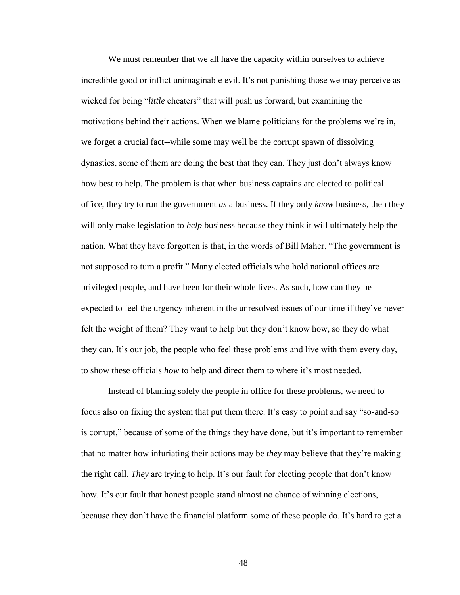We must remember that we all have the capacity within ourselves to achieve incredible good or inflict unimaginable evil. It's not punishing those we may perceive as wicked for being "*little* cheaters" that will push us forward, but examining the motivations behind their actions. When we blame politicians for the problems we're in, we forget a crucial fact--while some may well be the corrupt spawn of dissolving dynasties, some of them are doing the best that they can. They just don't always know how best to help. The problem is that when business captains are elected to political office, they try to run the government *as* a business. If they only *know* business, then they will only make legislation to *help* business because they think it will ultimately help the nation. What they have forgotten is that, in the words of Bill Maher, "The government is not supposed to turn a profit." Many elected officials who hold national offices are privileged people, and have been for their whole lives. As such, how can they be expected to feel the urgency inherent in the unresolved issues of our time if they've never felt the weight of them? They want to help but they don't know how, so they do what they can. It's our job, the people who feel these problems and live with them every day, to show these officials *how* to help and direct them to where it's most needed.

Instead of blaming solely the people in office for these problems, we need to focus also on fixing the system that put them there. It's easy to point and say "so-and-so is corrupt," because of some of the things they have done, but it's important to remember that no matter how infuriating their actions may be *they* may believe that they're making the right call. *They* are trying to help. It's our fault for electing people that don't know how. It's our fault that honest people stand almost no chance of winning elections, because they don't have the financial platform some of these people do. It's hard to get a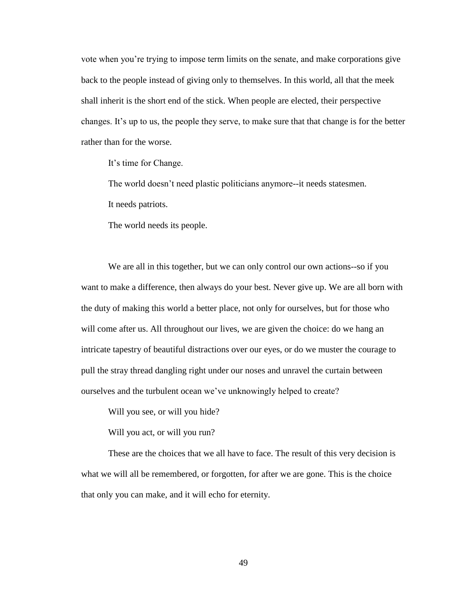vote when you're trying to impose term limits on the senate, and make corporations give back to the people instead of giving only to themselves. In this world, all that the meek shall inherit is the short end of the stick. When people are elected, their perspective changes. It's up to us, the people they serve, to make sure that that change is for the better rather than for the worse.

It's time for Change.

The world doesn't need plastic politicians anymore--it needs statesmen.

It needs patriots.

The world needs its people.

We are all in this together, but we can only control our own actions--so if you want to make a difference, then always do your best. Never give up. We are all born with the duty of making this world a better place, not only for ourselves, but for those who will come after us. All throughout our lives, we are given the choice: do we hang an intricate tapestry of beautiful distractions over our eyes, or do we muster the courage to pull the stray thread dangling right under our noses and unravel the curtain between ourselves and the turbulent ocean we've unknowingly helped to create?

Will you see, or will you hide?

Will you act, or will you run?

These are the choices that we all have to face. The result of this very decision is what we will all be remembered, or forgotten, for after we are gone. This is the choice that only you can make, and it will echo for eternity.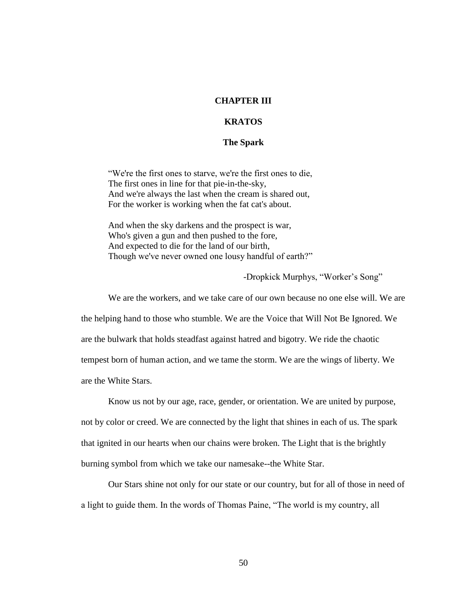# **CHAPTER III**

# **KRATOS**

# **The Spark**

"We're the first ones to starve, we're the first ones to die, The first ones in line for that pie-in-the-sky, And we're always the last when the cream is shared out, For the worker is working when the fat cat's about.

And when the sky darkens and the prospect is war, Who's given a gun and then pushed to the fore, And expected to die for the land of our birth, Though we've never owned one lousy handful of earth?"

-Dropkick Murphys, "Worker's Song"

We are the workers, and we take care of our own because no one else will. We are the helping hand to those who stumble. We are the Voice that Will Not Be Ignored. We are the bulwark that holds steadfast against hatred and bigotry. We ride the chaotic tempest born of human action, and we tame the storm. We are the wings of liberty. We are the White Stars.

Know us not by our age, race, gender, or orientation. We are united by purpose, not by color or creed. We are connected by the light that shines in each of us. The spark that ignited in our hearts when our chains were broken. The Light that is the brightly burning symbol from which we take our namesake--the White Star.

Our Stars shine not only for our state or our country, but for all of those in need of a light to guide them. In the words of Thomas Paine, "The world is my country, all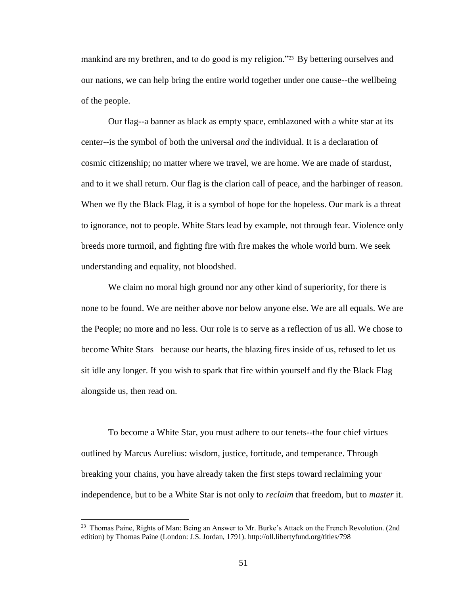mankind are my brethren, and to do good is my religion."<sup>23</sup> By bettering ourselves and our nations, we can help bring the entire world together under one cause--the wellbeing of the people.

Our flag--a banner as black as empty space, emblazoned with a white star at its center--is the symbol of both the universal *and* the individual. It is a declaration of cosmic citizenship; no matter where we travel, we are home. We are made of stardust, and to it we shall return. Our flag is the clarion call of peace, and the harbinger of reason. When we fly the Black Flag, it is a symbol of hope for the hopeless. Our mark is a threat to ignorance, not to people. White Stars lead by example, not through fear. Violence only breeds more turmoil, and fighting fire with fire makes the whole world burn. We seek understanding and equality, not bloodshed.

We claim no moral high ground nor any other kind of superiority, for there is none to be found. We are neither above nor below anyone else. We are all equals. We are the People; no more and no less. Our role is to serve as a reflection of us all. We chose to become White Stars because our hearts, the blazing fires inside of us, refused to let us sit idle any longer. If you wish to spark that fire within yourself and fly the Black Flag alongside us, then read on.

To become a White Star, you must adhere to our tenets--the four chief virtues outlined by Marcus Aurelius: wisdom, justice, fortitude, and temperance. Through breaking your chains, you have already taken the first steps toward reclaiming your independence, but to be a White Star is not only to *reclaim* that freedom, but to *master* it.

 $\overline{a}$ 

<sup>&</sup>lt;sup>23</sup> Thomas Paine, Rights of Man: Being an Answer to Mr. Burke's Attack on the French Revolution. (2nd edition) by Thomas Paine (London: J.S. Jordan, 1791). http://oll.libertyfund.org/titles/798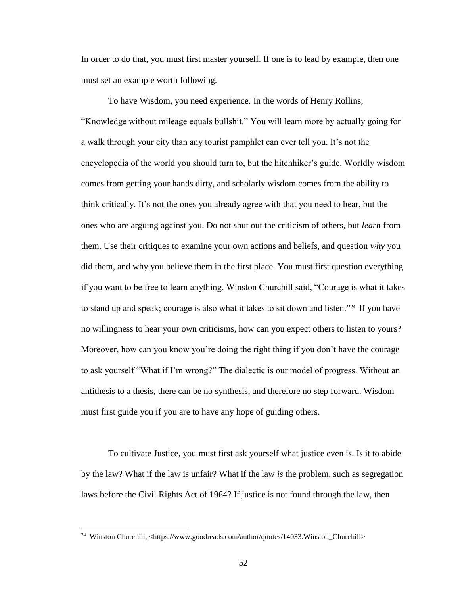In order to do that, you must first master yourself. If one is to lead by example, then one must set an example worth following.

To have Wisdom, you need experience. In the words of Henry Rollins, "Knowledge without mileage equals bullshit." You will learn more by actually going for a walk through your city than any tourist pamphlet can ever tell you. It's not the encyclopedia of the world you should turn to, but the hitchhiker's guide. Worldly wisdom comes from getting your hands dirty, and scholarly wisdom comes from the ability to think critically. It's not the ones you already agree with that you need to hear, but the ones who are arguing against you. Do not shut out the criticism of others, but *learn* from them. Use their critiques to examine your own actions and beliefs, and question *why* you did them, and why you believe them in the first place. You must first question everything if you want to be free to learn anything. Winston Churchill said, "Courage is what it takes to stand up and speak; courage is also what it takes to sit down and listen."<sup>24</sup> If you have no willingness to hear your own criticisms, how can you expect others to listen to yours? Moreover, how can you know you're doing the right thing if you don't have the courage to ask yourself "What if I'm wrong?" The dialectic is our model of progress. Without an antithesis to a thesis, there can be no synthesis, and therefore no step forward. Wisdom must first guide you if you are to have any hope of guiding others.

To cultivate Justice, you must first ask yourself what justice even is. Is it to abide by the law? What if the law is unfair? What if the law *is* the problem, such as segregation laws before the Civil Rights Act of 1964? If justice is not found through the law, then

 $\overline{a}$ 

<sup>&</sup>lt;sup>24</sup> Winston Churchill, <https://www.goodreads.com/author/quotes/14033.Winston\_Churchill>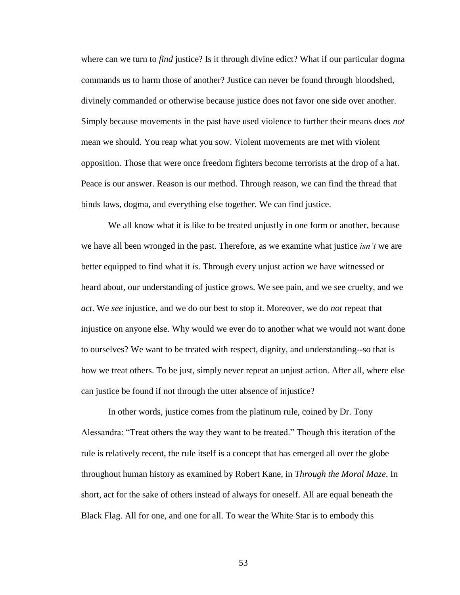where can we turn to *find* justice? Is it through divine edict? What if our particular dogma commands us to harm those of another? Justice can never be found through bloodshed, divinely commanded or otherwise because justice does not favor one side over another. Simply because movements in the past have used violence to further their means does *not* mean we should. You reap what you sow. Violent movements are met with violent opposition. Those that were once freedom fighters become terrorists at the drop of a hat. Peace is our answer. Reason is our method. Through reason, we can find the thread that binds laws, dogma, and everything else together. We can find justice.

We all know what it is like to be treated unjustly in one form or another, because we have all been wronged in the past. Therefore, as we examine what justice *isn't* we are better equipped to find what it *is*. Through every unjust action we have witnessed or heard about, our understanding of justice grows. We see pain, and we see cruelty, and we *act*. We *see* injustice, and we do our best to stop it. Moreover, we do *not* repeat that injustice on anyone else. Why would we ever do to another what we would not want done to ourselves? We want to be treated with respect, dignity, and understanding--so that is how we treat others. To be just, simply never repeat an unjust action. After all, where else can justice be found if not through the utter absence of injustice?

In other words, justice comes from the platinum rule, coined by Dr. Tony Alessandra: "Treat others the way they want to be treated." Though this iteration of the rule is relatively recent, the rule itself is a concept that has emerged all over the globe throughout human history as examined by Robert Kane, in *Through the Moral Maze*. In short, act for the sake of others instead of always for oneself. All are equal beneath the Black Flag. All for one, and one for all. To wear the White Star is to embody this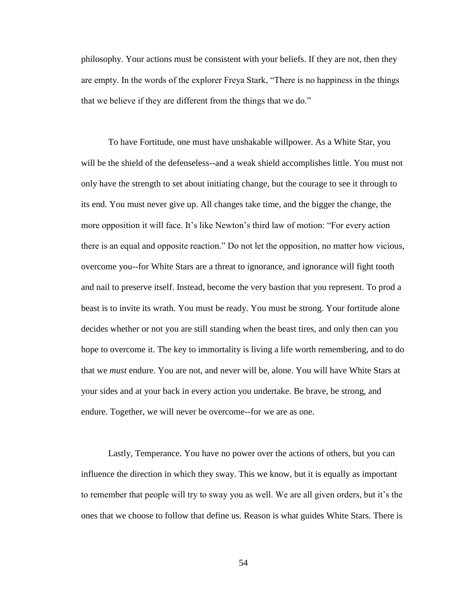philosophy. Your actions must be consistent with your beliefs. If they are not, then they are empty. In the words of the explorer Freya Stark, "There is no happiness in the things that we believe if they are different from the things that we do."

To have Fortitude, one must have unshakable willpower. As a White Star, you will be the shield of the defenseless--and a weak shield accomplishes little. You must not only have the strength to set about initiating change, but the courage to see it through to its end. You must never give up. All changes take time, and the bigger the change, the more opposition it will face. It's like Newton's third law of motion: "For every action there is an equal and opposite reaction." Do not let the opposition, no matter how vicious, overcome you--for White Stars are a threat to ignorance, and ignorance will fight tooth and nail to preserve itself. Instead, become the very bastion that you represent. To prod a beast is to invite its wrath. You must be ready. You must be strong. Your fortitude alone decides whether or not you are still standing when the beast tires, and only then can you hope to overcome it. The key to immortality is living a life worth remembering, and to do that we *must* endure. You are not, and never will be, alone. You will have White Stars at your sides and at your back in every action you undertake. Be brave, be strong, and endure. Together, we will never be overcome--for we are as one.

Lastly, Temperance. You have no power over the actions of others, but you can influence the direction in which they sway. This we know, but it is equally as important to remember that people will try to sway you as well. We are all given orders, but it's the ones that we choose to follow that define us. Reason is what guides White Stars. There is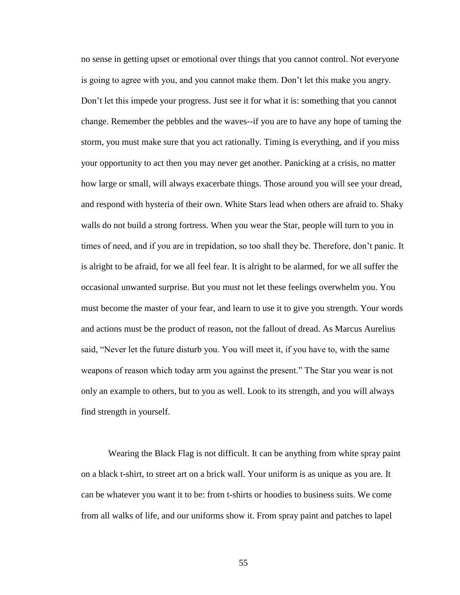no sense in getting upset or emotional over things that you cannot control. Not everyone is going to agree with you, and you cannot make them. Don't let this make you angry. Don't let this impede your progress. Just see it for what it is: something that you cannot change. Remember the pebbles and the waves--if you are to have any hope of taming the storm, you must make sure that you act rationally. Timing is everything, and if you miss your opportunity to act then you may never get another. Panicking at a crisis, no matter how large or small, will always exacerbate things. Those around you will see your dread, and respond with hysteria of their own. White Stars lead when others are afraid to. Shaky walls do not build a strong fortress. When you wear the Star, people will turn to you in times of need, and if you are in trepidation, so too shall they be. Therefore, don't panic. It is alright to be afraid, for we all feel fear. It is alright to be alarmed, for we all suffer the occasional unwanted surprise. But you must not let these feelings overwhelm you. You must become the master of your fear, and learn to use it to give you strength. Your words and actions must be the product of reason, not the fallout of dread. As Marcus Aurelius said, "Never let the future disturb you. You will meet it, if you have to, with the same weapons of reason which today arm you against the present." The Star you wear is not only an example to others, but to you as well. Look to its strength, and you will always find strength in yourself.

Wearing the Black Flag is not difficult. It can be anything from white spray paint on a black t-shirt, to street art on a brick wall. Your uniform is as unique as you are. It can be whatever you want it to be: from t-shirts or hoodies to business suits. We come from all walks of life, and our uniforms show it. From spray paint and patches to lapel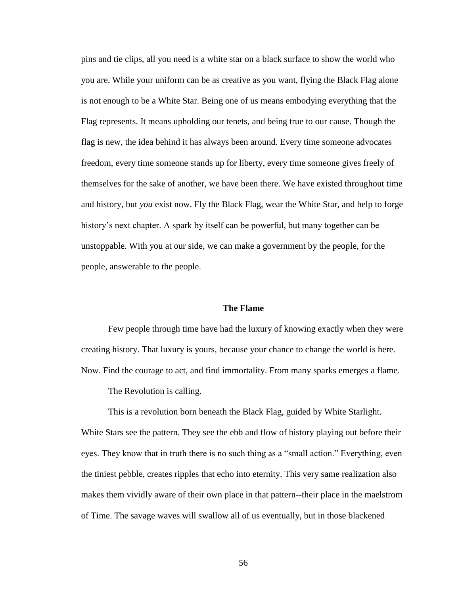pins and tie clips, all you need is a white star on a black surface to show the world who you are. While your uniform can be as creative as you want, flying the Black Flag alone is not enough to be a White Star. Being one of us means embodying everything that the Flag represents. It means upholding our tenets, and being true to our cause. Though the flag is new, the idea behind it has always been around. Every time someone advocates freedom, every time someone stands up for liberty, every time someone gives freely of themselves for the sake of another, we have been there. We have existed throughout time and history, but *you* exist now. Fly the Black Flag, wear the White Star, and help to forge history's next chapter. A spark by itself can be powerful, but many together can be unstoppable. With you at our side, we can make a government by the people, for the people, answerable to the people.

## **The Flame**

Few people through time have had the luxury of knowing exactly when they were creating history. That luxury is yours, because your chance to change the world is here. Now. Find the courage to act, and find immortality. From many sparks emerges a flame.

The Revolution is calling.

This is a revolution born beneath the Black Flag, guided by White Starlight. White Stars see the pattern. They see the ebb and flow of history playing out before their eyes. They know that in truth there is no such thing as a "small action." Everything, even the tiniest pebble, creates ripples that echo into eternity. This very same realization also makes them vividly aware of their own place in that pattern--their place in the maelstrom of Time. The savage waves will swallow all of us eventually, but in those blackened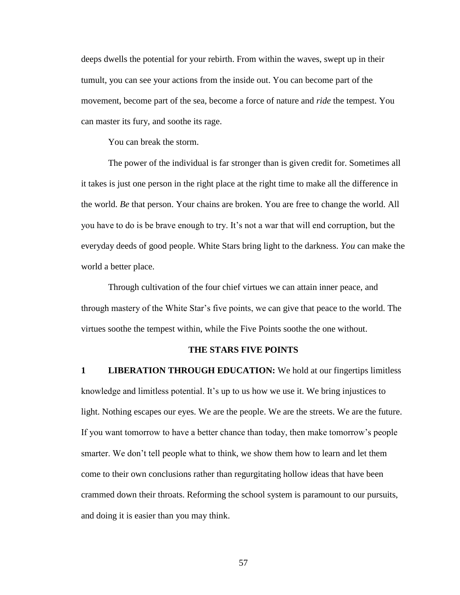deeps dwells the potential for your rebirth. From within the waves, swept up in their tumult, you can see your actions from the inside out. You can become part of the movement, become part of the sea, become a force of nature and *ride* the tempest. You can master its fury, and soothe its rage.

You can break the storm.

The power of the individual is far stronger than is given credit for. Sometimes all it takes is just one person in the right place at the right time to make all the difference in the world. *Be* that person. Your chains are broken. You are free to change the world. All you have to do is be brave enough to try. It's not a war that will end corruption, but the everyday deeds of good people. White Stars bring light to the darkness. *You* can make the world a better place.

Through cultivation of the four chief virtues we can attain inner peace, and through mastery of the White Star's five points, we can give that peace to the world. The virtues soothe the tempest within, while the Five Points soothe the one without.

#### **THE STARS FIVE POINTS**

**1 LIBERATION THROUGH EDUCATION:** We hold at our fingertips limitless knowledge and limitless potential. It's up to us how we use it. We bring injustices to light. Nothing escapes our eyes. We are the people. We are the streets. We are the future. If you want tomorrow to have a better chance than today, then make tomorrow's people smarter. We don't tell people what to think, we show them how to learn and let them come to their own conclusions rather than regurgitating hollow ideas that have been crammed down their throats. Reforming the school system is paramount to our pursuits, and doing it is easier than you may think.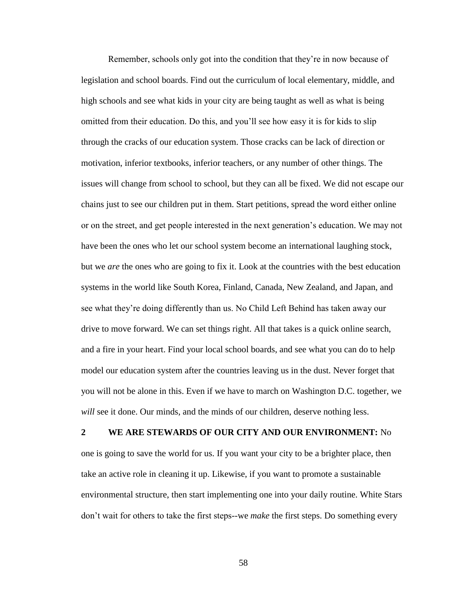Remember, schools only got into the condition that they're in now because of legislation and school boards. Find out the curriculum of local elementary, middle, and high schools and see what kids in your city are being taught as well as what is being omitted from their education. Do this, and you'll see how easy it is for kids to slip through the cracks of our education system. Those cracks can be lack of direction or motivation, inferior textbooks, inferior teachers, or any number of other things. The issues will change from school to school, but they can all be fixed. We did not escape our chains just to see our children put in them. Start petitions, spread the word either online or on the street, and get people interested in the next generation's education. We may not have been the ones who let our school system become an international laughing stock, but we *are* the ones who are going to fix it. Look at the countries with the best education systems in the world like South Korea, Finland, Canada, New Zealand, and Japan, and see what they're doing differently than us. No Child Left Behind has taken away our drive to move forward. We can set things right. All that takes is a quick online search, and a fire in your heart. Find your local school boards, and see what you can do to help model our education system after the countries leaving us in the dust. Never forget that you will not be alone in this. Even if we have to march on Washington D.C. together, we *will* see it done. Our minds, and the minds of our children, deserve nothing less.

### **2 WE ARE STEWARDS OF OUR CITY AND OUR ENVIRONMENT:** No

one is going to save the world for us. If you want your city to be a brighter place, then take an active role in cleaning it up. Likewise, if you want to promote a sustainable environmental structure, then start implementing one into your daily routine. White Stars don't wait for others to take the first steps--we *make* the first steps. Do something every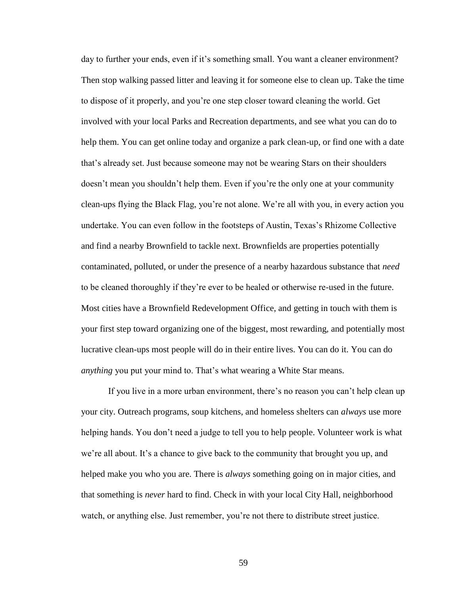day to further your ends, even if it's something small. You want a cleaner environment? Then stop walking passed litter and leaving it for someone else to clean up. Take the time to dispose of it properly, and you're one step closer toward cleaning the world. Get involved with your local Parks and Recreation departments, and see what you can do to help them. You can get online today and organize a park clean-up, or find one with a date that's already set. Just because someone may not be wearing Stars on their shoulders doesn't mean you shouldn't help them. Even if you're the only one at your community clean-ups flying the Black Flag, you're not alone. We're all with you, in every action you undertake. You can even follow in the footsteps of Austin, Texas's Rhizome Collective and find a nearby Brownfield to tackle next. Brownfields are properties potentially contaminated, polluted, or under the presence of a nearby hazardous substance that *need* to be cleaned thoroughly if they're ever to be healed or otherwise re-used in the future. Most cities have a Brownfield Redevelopment Office, and getting in touch with them is your first step toward organizing one of the biggest, most rewarding, and potentially most lucrative clean-ups most people will do in their entire lives. You can do it. You can do *anything* you put your mind to. That's what wearing a White Star means.

If you live in a more urban environment, there's no reason you can't help clean up your city. Outreach programs, soup kitchens, and homeless shelters can *always* use more helping hands. You don't need a judge to tell you to help people. Volunteer work is what we're all about. It's a chance to give back to the community that brought you up, and helped make you who you are. There is *always* something going on in major cities, and that something is *never* hard to find. Check in with your local City Hall, neighborhood watch, or anything else. Just remember, you're not there to distribute street justice.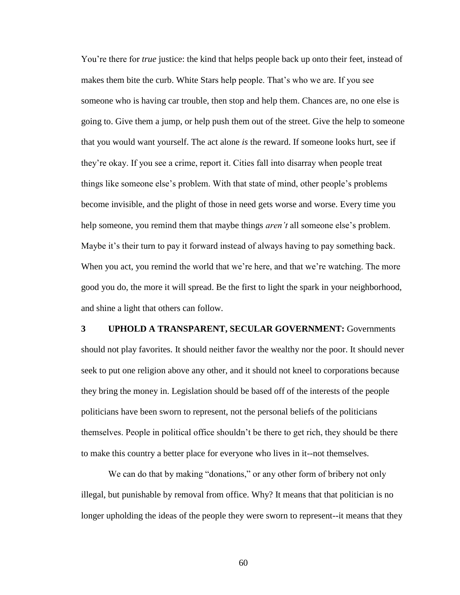You're there for *true* justice: the kind that helps people back up onto their feet, instead of makes them bite the curb. White Stars help people. That's who we are. If you see someone who is having car trouble, then stop and help them. Chances are, no one else is going to. Give them a jump, or help push them out of the street. Give the help to someone that you would want yourself. The act alone *is* the reward. If someone looks hurt, see if they're okay. If you see a crime, report it. Cities fall into disarray when people treat things like someone else's problem. With that state of mind, other people's problems become invisible, and the plight of those in need gets worse and worse. Every time you help someone, you remind them that maybe things *aren't* all someone else's problem. Maybe it's their turn to pay it forward instead of always having to pay something back. When you act, you remind the world that we're here, and that we're watching. The more good you do, the more it will spread. Be the first to light the spark in your neighborhood, and shine a light that others can follow.

**3 UPHOLD A TRANSPARENT, SECULAR GOVERNMENT:** Governments should not play favorites. It should neither favor the wealthy nor the poor. It should never seek to put one religion above any other, and it should not kneel to corporations because they bring the money in. Legislation should be based off of the interests of the people politicians have been sworn to represent, not the personal beliefs of the politicians themselves. People in political office shouldn't be there to get rich, they should be there to make this country a better place for everyone who lives in it--not themselves.

We can do that by making "donations," or any other form of bribery not only illegal, but punishable by removal from office. Why? It means that that politician is no longer upholding the ideas of the people they were sworn to represent--it means that they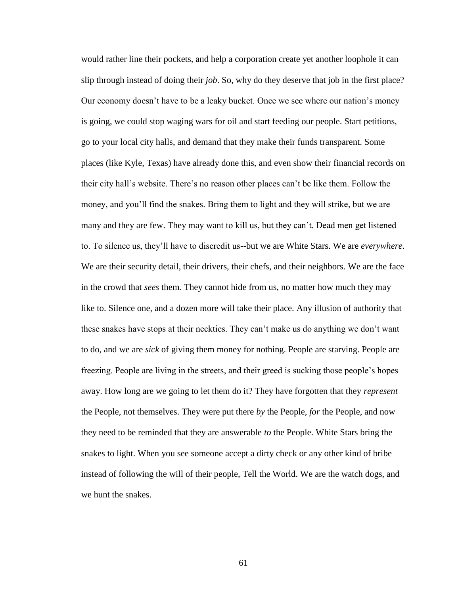would rather line their pockets, and help a corporation create yet another loophole it can slip through instead of doing their *job*. So, why do they deserve that job in the first place? Our economy doesn't have to be a leaky bucket. Once we see where our nation's money is going, we could stop waging wars for oil and start feeding our people. Start petitions, go to your local city halls, and demand that they make their funds transparent. Some places (like Kyle, Texas) have already done this, and even show their financial records on their city hall's website. There's no reason other places can't be like them. Follow the money, and you'll find the snakes. Bring them to light and they will strike, but we are many and they are few. They may want to kill us, but they can't. Dead men get listened to. To silence us, they'll have to discredit us--but we are White Stars. We are *everywhere*. We are their security detail, their drivers, their chefs, and their neighbors. We are the face in the crowd that *sees* them. They cannot hide from us, no matter how much they may like to. Silence one, and a dozen more will take their place. Any illusion of authority that these snakes have stops at their neckties. They can't make us do anything we don't want to do, and we are *sick* of giving them money for nothing. People are starving. People are freezing. People are living in the streets, and their greed is sucking those people's hopes away. How long are we going to let them do it? They have forgotten that they *represent* the People, not themselves. They were put there *by* the People, *for* the People, and now they need to be reminded that they are answerable *to* the People. White Stars bring the snakes to light. When you see someone accept a dirty check or any other kind of bribe instead of following the will of their people, Tell the World. We are the watch dogs, and we hunt the snakes.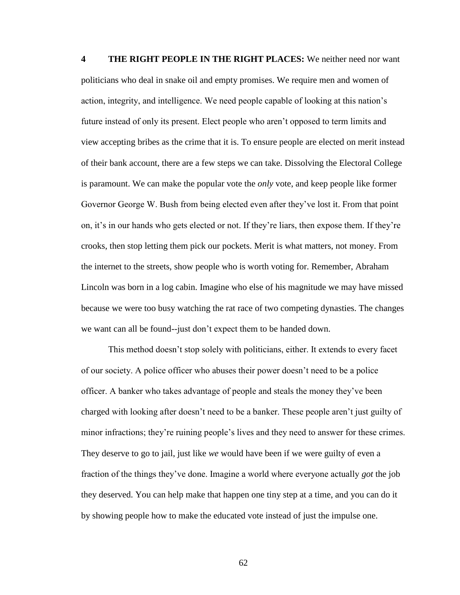**4 THE RIGHT PEOPLE IN THE RIGHT PLACES:** We neither need nor want politicians who deal in snake oil and empty promises. We require men and women of action, integrity, and intelligence. We need people capable of looking at this nation's future instead of only its present. Elect people who aren't opposed to term limits and view accepting bribes as the crime that it is. To ensure people are elected on merit instead of their bank account, there are a few steps we can take. Dissolving the Electoral College is paramount. We can make the popular vote the *only* vote, and keep people like former Governor George W. Bush from being elected even after they've lost it. From that point on, it's in our hands who gets elected or not. If they're liars, then expose them. If they're crooks, then stop letting them pick our pockets. Merit is what matters, not money. From the internet to the streets, show people who is worth voting for. Remember, Abraham Lincoln was born in a log cabin. Imagine who else of his magnitude we may have missed because we were too busy watching the rat race of two competing dynasties. The changes we want can all be found--just don't expect them to be handed down.

This method doesn't stop solely with politicians, either. It extends to every facet of our society. A police officer who abuses their power doesn't need to be a police officer. A banker who takes advantage of people and steals the money they've been charged with looking after doesn't need to be a banker. These people aren't just guilty of minor infractions; they're ruining people's lives and they need to answer for these crimes. They deserve to go to jail, just like *we* would have been if we were guilty of even a fraction of the things they've done. Imagine a world where everyone actually *got* the job they deserved. You can help make that happen one tiny step at a time, and you can do it by showing people how to make the educated vote instead of just the impulse one.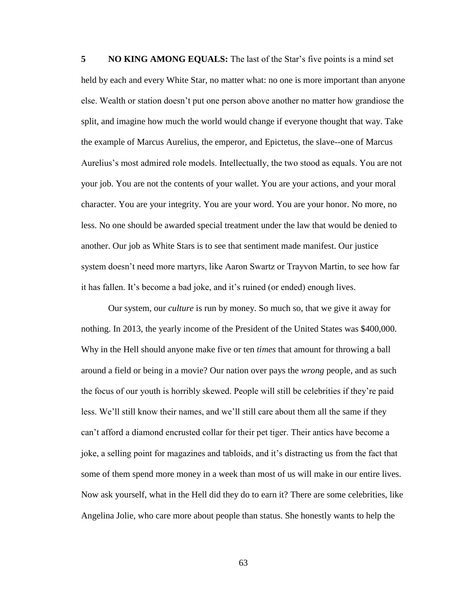**5 NO KING AMONG EQUALS:** The last of the Star's five points is a mind set held by each and every White Star, no matter what: no one is more important than anyone else. Wealth or station doesn't put one person above another no matter how grandiose the split, and imagine how much the world would change if everyone thought that way. Take the example of Marcus Aurelius, the emperor, and Epictetus, the slave--one of Marcus Aurelius's most admired role models. Intellectually, the two stood as equals. You are not your job. You are not the contents of your wallet. You are your actions, and your moral character. You are your integrity. You are your word. You are your honor. No more, no less. No one should be awarded special treatment under the law that would be denied to another. Our job as White Stars is to see that sentiment made manifest. Our justice system doesn't need more martyrs, like Aaron Swartz or Trayvon Martin, to see how far it has fallen. It's become a bad joke, and it's ruined (or ended) enough lives.

Our system, our *culture* is run by money. So much so, that we give it away for nothing. In 2013, the yearly income of the President of the United States was \$400,000. Why in the Hell should anyone make five or ten *times* that amount for throwing a ball around a field or being in a movie? Our nation over pays the *wrong* people, and as such the focus of our youth is horribly skewed. People will still be celebrities if they're paid less. We'll still know their names, and we'll still care about them all the same if they can't afford a diamond encrusted collar for their pet tiger. Their antics have become a joke, a selling point for magazines and tabloids, and it's distracting us from the fact that some of them spend more money in a week than most of us will make in our entire lives. Now ask yourself, what in the Hell did they do to earn it? There are some celebrities, like Angelina Jolie, who care more about people than status. She honestly wants to help the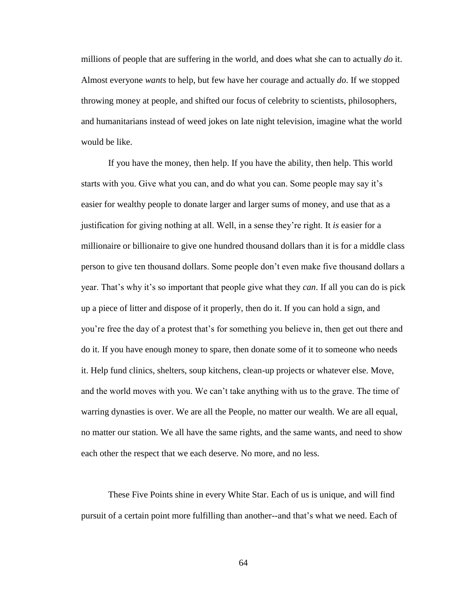millions of people that are suffering in the world, and does what she can to actually *do* it. Almost everyone *wants* to help, but few have her courage and actually *do*. If we stopped throwing money at people, and shifted our focus of celebrity to scientists, philosophers, and humanitarians instead of weed jokes on late night television, imagine what the world would be like.

If you have the money, then help. If you have the ability, then help. This world starts with you. Give what you can, and do what you can. Some people may say it's easier for wealthy people to donate larger and larger sums of money, and use that as a justification for giving nothing at all. Well, in a sense they're right. It *is* easier for a millionaire or billionaire to give one hundred thousand dollars than it is for a middle class person to give ten thousand dollars. Some people don't even make five thousand dollars a year. That's why it's so important that people give what they *can*. If all you can do is pick up a piece of litter and dispose of it properly, then do it. If you can hold a sign, and you're free the day of a protest that's for something you believe in, then get out there and do it. If you have enough money to spare, then donate some of it to someone who needs it. Help fund clinics, shelters, soup kitchens, clean-up projects or whatever else. Move, and the world moves with you. We can't take anything with us to the grave. The time of warring dynasties is over. We are all the People, no matter our wealth. We are all equal, no matter our station. We all have the same rights, and the same wants, and need to show each other the respect that we each deserve. No more, and no less.

These Five Points shine in every White Star. Each of us is unique, and will find pursuit of a certain point more fulfilling than another--and that's what we need. Each of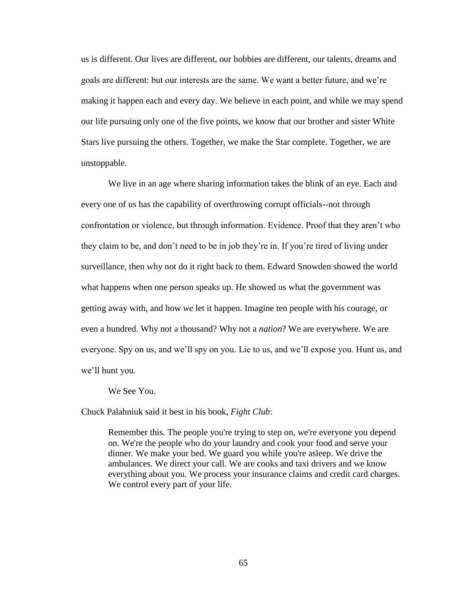us is different. Our lives are different, our hobbies are different, our talents, dreams and goals are different: but our interests are the same. We want a better future, and we're making it happen each and every day. We believe in each point, and while we may spend our life pursuing only one of the five points, we know that our brother and sister White Stars live pursuing the others. Together, we make the Star complete. Together, we are unstoppable.

We live in an age where sharing information takes the blink of an eye. Each and every one of us has the capability of overthrowing corrupt officials--not through confrontation or violence, but through information. Evidence. Proof that they aren't who they claim to be, and don't need to be in job they're in. If you're tired of living under surveillance, then why not do it right back to them. Edward Snowden showed the world what happens when one person speaks up. He showed us what the government was getting away with, and how *we* let it happen. Imagine ten people with his courage, or even a hundred. Why not a thousand? Why not a *nation*? We are everywhere. We are everyone. Spy on us, and we'll spy on you. Lie to us, and we'll expose you. Hunt us, and we'll hunt you.

We See You.

Chuck Palahniuk said it best in his book, *Fight Club*:

Remember this. The people you're trying to step on, we're everyone you depend on. We're the people who do your laundry and cook your food and serve your dinner. We make your bed. We guard you while you're asleep. We drive the ambulances. We direct your call. We are cooks and taxi drivers and we know everything about you. We process your insurance claims and credit card charges. We control every part of your life.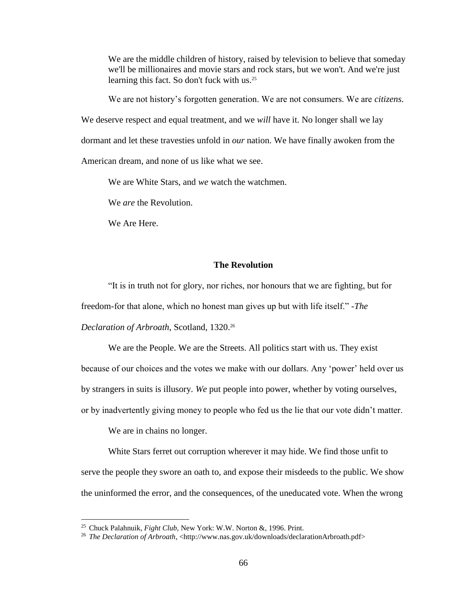We are the middle children of history, raised by television to believe that someday we'll be millionaires and movie stars and rock stars, but we won't. And we're just learning this fact. So don't fuck with us.<sup>25</sup>

We are not history's forgotten generation. We are not consumers. We are *citizens*. We deserve respect and equal treatment, and we *will* have it. No longer shall we lay dormant and let these travesties unfold in *our* nation. We have finally awoken from the American dream, and none of us like what we see.

We are White Stars, and *we* watch the watchmen.

We *are* the Revolution.

We Are Here.

# **The Revolution**

"It is in truth not for glory, nor riches, nor honours that we are fighting, but for freedom-for that alone, which no honest man gives up but with life itself." -*The* 

*Declaration of Arbroath*, Scotland, 1320.<sup>26</sup>

We are the People. We are the Streets. All politics start with us. They exist because of our choices and the votes we make with our dollars. Any 'power' held over us by strangers in suits is illusory. *We* put people into power, whether by voting ourselves, or by inadvertently giving money to people who fed us the lie that our vote didn't matter.

We are in chains no longer.

 $\overline{a}$ 

White Stars ferret out corruption wherever it may hide. We find those unfit to serve the people they swore an oath to, and expose their misdeeds to the public. We show the uninformed the error, and the consequences, of the uneducated vote. When the wrong

<sup>25</sup> Chuck Palahnuik, *Fight Club,* New York: W.W. Norton &, 1996. Print.

<sup>&</sup>lt;sup>26</sup> *The Declaration of Arbroath*, <http://www.nas.gov.uk/downloads/declarationArbroath.pdf>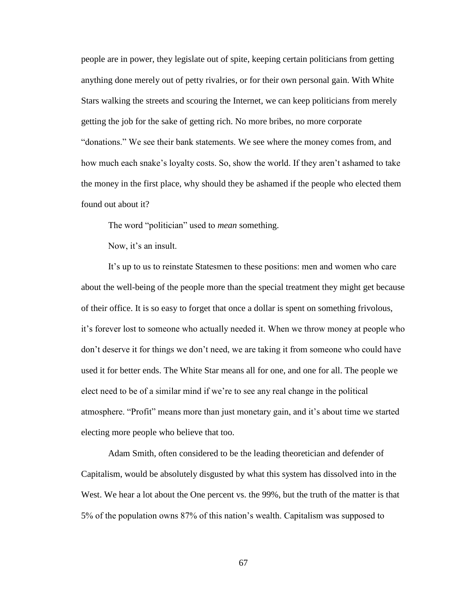people are in power, they legislate out of spite, keeping certain politicians from getting anything done merely out of petty rivalries, or for their own personal gain. With White Stars walking the streets and scouring the Internet, we can keep politicians from merely getting the job for the sake of getting rich. No more bribes, no more corporate "donations." We see their bank statements. We see where the money comes from, and how much each snake's loyalty costs. So, show the world. If they aren't ashamed to take the money in the first place, why should they be ashamed if the people who elected them found out about it?

The word "politician" used to *mean* something.

Now, it's an insult.

It's up to us to reinstate Statesmen to these positions: men and women who care about the well-being of the people more than the special treatment they might get because of their office. It is so easy to forget that once a dollar is spent on something frivolous, it's forever lost to someone who actually needed it. When we throw money at people who don't deserve it for things we don't need, we are taking it from someone who could have used it for better ends. The White Star means all for one, and one for all. The people we elect need to be of a similar mind if we're to see any real change in the political atmosphere. "Profit" means more than just monetary gain, and it's about time we started electing more people who believe that too.

Adam Smith, often considered to be the leading theoretician and defender of Capitalism, would be absolutely disgusted by what this system has dissolved into in the West. We hear a lot about the One percent vs. the 99%, but the truth of the matter is that 5% of the population owns 87% of this nation's wealth. Capitalism was supposed to

67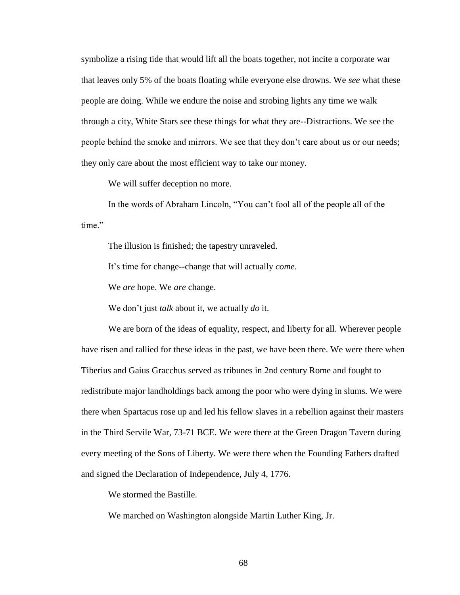symbolize a rising tide that would lift all the boats together, not incite a corporate war that leaves only 5% of the boats floating while everyone else drowns. We *see* what these people are doing. While we endure the noise and strobing lights any time we walk through a city, White Stars see these things for what they are--Distractions. We see the people behind the smoke and mirrors. We see that they don't care about us or our needs; they only care about the most efficient way to take our money.

We will suffer deception no more.

In the words of Abraham Lincoln, "You can't fool all of the people all of the time"

The illusion is finished; the tapestry unraveled.

It's time for change--change that will actually *come*.

We *are* hope. We *are* change.

We don't just *talk* about it, we actually *do* it.

We are born of the ideas of equality, respect, and liberty for all. Wherever people have risen and rallied for these ideas in the past, we have been there. We were there when Tiberius and Gaius Gracchus served as tribunes in 2nd century Rome and fought to redistribute major landholdings back among the poor who were dying in slums. We were there when Spartacus rose up and led his fellow slaves in a rebellion against their masters in the Third Servile War, 73-71 BCE. We were there at the Green Dragon Tavern during every meeting of the Sons of Liberty. We were there when the Founding Fathers drafted and signed the Declaration of Independence, July 4, 1776.

We stormed the Bastille.

We marched on Washington alongside Martin Luther King, Jr.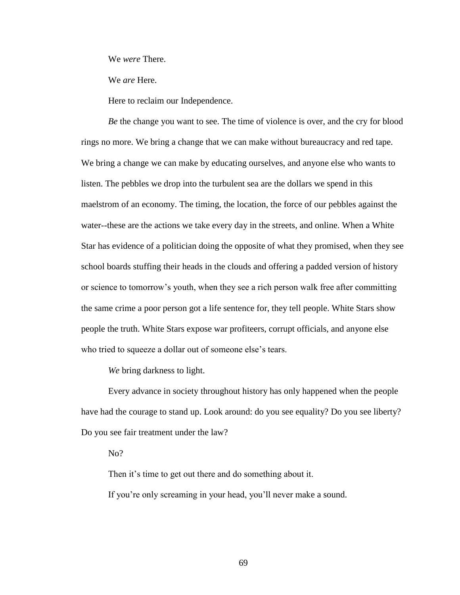We *were* There.

We *are* Here.

Here to reclaim our Independence.

*Be* the change you want to see. The time of violence is over, and the cry for blood rings no more. We bring a change that we can make without bureaucracy and red tape. We bring a change we can make by educating ourselves, and anyone else who wants to listen. The pebbles we drop into the turbulent sea are the dollars we spend in this maelstrom of an economy. The timing, the location, the force of our pebbles against the water--these are the actions we take every day in the streets, and online. When a White Star has evidence of a politician doing the opposite of what they promised, when they see school boards stuffing their heads in the clouds and offering a padded version of history or science to tomorrow's youth, when they see a rich person walk free after committing the same crime a poor person got a life sentence for, they tell people. White Stars show people the truth. White Stars expose war profiteers, corrupt officials, and anyone else who tried to squeeze a dollar out of someone else's tears.

*We* bring darkness to light.

Every advance in society throughout history has only happened when the people have had the courage to stand up. Look around: do you see equality? Do you see liberty? Do you see fair treatment under the law?

No?

Then it's time to get out there and do something about it. If you're only screaming in your head, you'll never make a sound.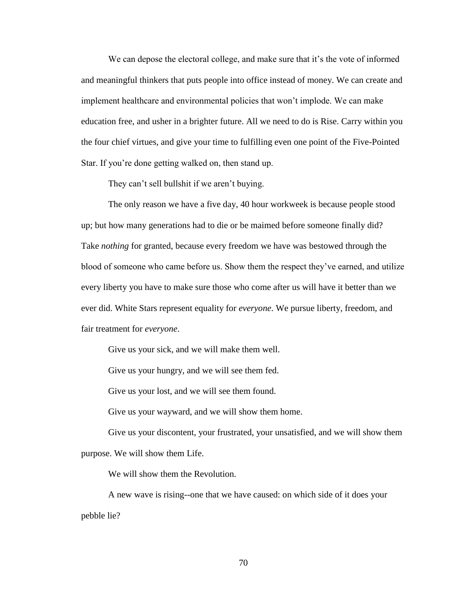We can depose the electoral college, and make sure that it's the vote of informed and meaningful thinkers that puts people into office instead of money. We can create and implement healthcare and environmental policies that won't implode. We can make education free, and usher in a brighter future. All we need to do is Rise. Carry within you the four chief virtues, and give your time to fulfilling even one point of the Five-Pointed Star. If you're done getting walked on, then stand up.

They can't sell bullshit if we aren't buying.

The only reason we have a five day, 40 hour workweek is because people stood up; but how many generations had to die or be maimed before someone finally did? Take *nothing* for granted, because every freedom we have was bestowed through the blood of someone who came before us. Show them the respect they've earned, and utilize every liberty you have to make sure those who come after us will have it better than we ever did. White Stars represent equality for *everyone*. We pursue liberty, freedom, and fair treatment for *everyone*.

Give us your sick, and we will make them well.

Give us your hungry, and we will see them fed.

Give us your lost, and we will see them found.

Give us your wayward, and we will show them home.

Give us your discontent, your frustrated, your unsatisfied, and we will show them purpose. We will show them Life.

We will show them the Revolution.

A new wave is rising--one that we have caused: on which side of it does your pebble lie?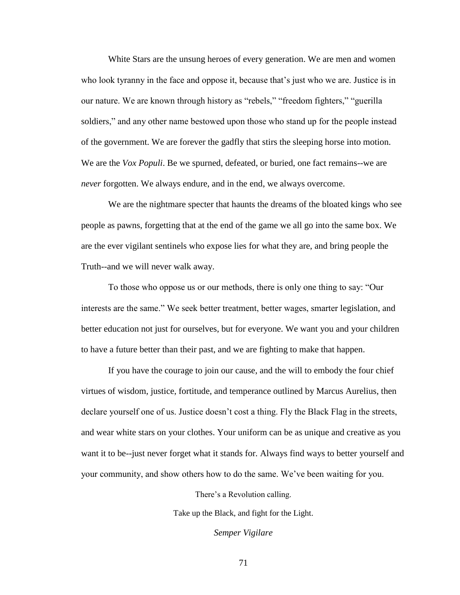White Stars are the unsung heroes of every generation. We are men and women who look tyranny in the face and oppose it, because that's just who we are. Justice is in our nature. We are known through history as "rebels," "freedom fighters," "guerilla soldiers," and any other name bestowed upon those who stand up for the people instead of the government. We are forever the gadfly that stirs the sleeping horse into motion. We are the *Vox Populi*. Be we spurned, defeated, or buried, one fact remains--we are *never* forgotten. We always endure, and in the end, we always overcome.

We are the nightmare specter that haunts the dreams of the bloated kings who see people as pawns, forgetting that at the end of the game we all go into the same box. We are the ever vigilant sentinels who expose lies for what they are, and bring people the Truth--and we will never walk away.

To those who oppose us or our methods, there is only one thing to say: "Our interests are the same." We seek better treatment, better wages, smarter legislation, and better education not just for ourselves, but for everyone. We want you and your children to have a future better than their past, and we are fighting to make that happen.

If you have the courage to join our cause, and the will to embody the four chief virtues of wisdom, justice, fortitude, and temperance outlined by Marcus Aurelius, then declare yourself one of us. Justice doesn't cost a thing. Fly the Black Flag in the streets, and wear white stars on your clothes. Your uniform can be as unique and creative as you want it to be--just never forget what it stands for. Always find ways to better yourself and your community, and show others how to do the same. We've been waiting for you.

There's a Revolution calling.

Take up the Black, and fight for the Light.

*Semper Vigilare*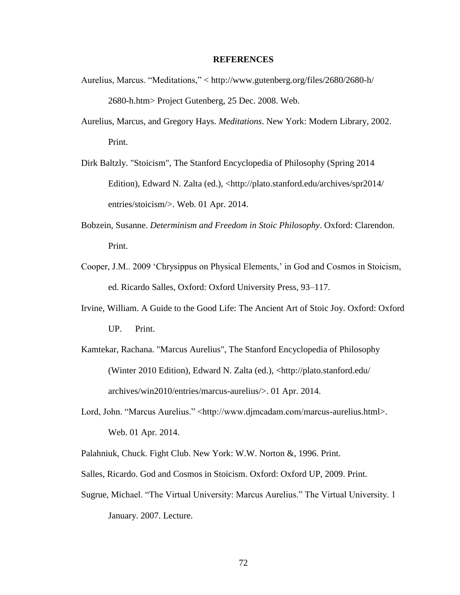## **REFERENCES**

- Aurelius, Marcus. "Meditations," < http://www.gutenberg.org/files/2680/2680-h/ 2680-h.htm> Project Gutenberg, 25 Dec. 2008. Web.
- Aurelius, Marcus, and Gregory Hays. *Meditations*. New York: Modern Library, 2002. Print.
- Dirk Baltzly. "Stoicism", The Stanford Encyclopedia of Philosophy (Spring 2014 Edition), Edward N. Zalta (ed.), <http://plato.stanford.edu/archives/spr2014/ entries/stoicism/>. Web. 01 Apr. 2014.
- Bobzein, Susanne. *Determinism and Freedom in Stoic Philosophy*. Oxford: Clarendon. Print.
- Cooper, J.M.. 2009 'Chrysippus on Physical Elements,' in God and Cosmos in Stoicism, ed. Ricardo Salles, Oxford: Oxford University Press, 93–117.
- Irvine, William. A Guide to the Good Life: The Ancient Art of Stoic Joy. Oxford: Oxford UP. Print.
- Kamtekar, Rachana. "Marcus Aurelius", The Stanford Encyclopedia of Philosophy (Winter 2010 Edition), Edward N. Zalta (ed.), <http://plato.stanford.edu/ archives/win2010/entries/marcus-aurelius/>. 01 Apr. 2014.
- Lord, John. "Marcus Aurelius." <http://www.djmcadam.com/marcus-aurelius.html>. Web. 01 Apr. 2014.
- Palahniuk, Chuck. Fight Club. New York: W.W. Norton &, 1996. Print.
- Salles, Ricardo. God and Cosmos in Stoicism. Oxford: Oxford UP, 2009. Print.
- Sugrue, Michael. "The Virtual University: Marcus Aurelius." The Virtual University. 1 January. 2007. Lecture.